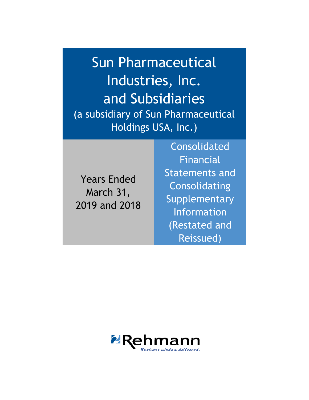Sun Pharmaceutical Industries, Inc. and Subsidiaries (a subsidiary of Sun Pharmaceutical Holdings USA, Inc.)

Years Ended March 31, 2019 and 2018

Consolidated Financial Statements and Consolidating Supplementary Information (Restated and Reissued)

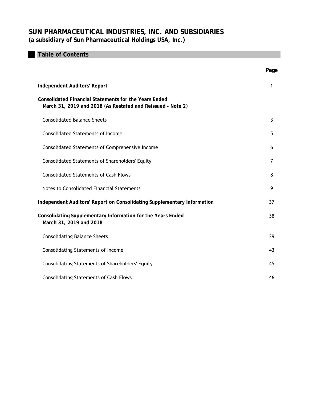## **Table of Contents**

|                                                                                                                             | Page |
|-----------------------------------------------------------------------------------------------------------------------------|------|
| <b>Independent Auditors' Report</b>                                                                                         | 1    |
| <b>Consolidated Financial Statements for the Years Ended</b><br>March 31, 2019 and 2018 (As Restated and Reissued - Note 2) |      |
| <b>Consolidated Balance Sheets</b>                                                                                          | 3    |
| <b>Consolidated Statements of Income</b>                                                                                    | 5    |
| Consolidated Statements of Comprehensive Income                                                                             | 6    |
| <b>Consolidated Statements of Shareholders' Equity</b>                                                                      | 7    |
| <b>Consolidated Statements of Cash Flows</b>                                                                                | 8    |
| Notes to Consolidated Financial Statements                                                                                  | 9    |
| Independent Auditors' Report on Consolidating Supplementary Information                                                     | 37   |
| Consolidating Supplementary Information for the Years Ended<br>March 31, 2019 and 2018                                      | 38   |
| <b>Consolidating Balance Sheets</b>                                                                                         | 39   |
| <b>Consolidating Statements of Income</b>                                                                                   | 43   |
| <b>Consolidating Statements of Shareholders' Equity</b>                                                                     | 45   |
| <b>Consolidating Statements of Cash Flows</b>                                                                               | 46   |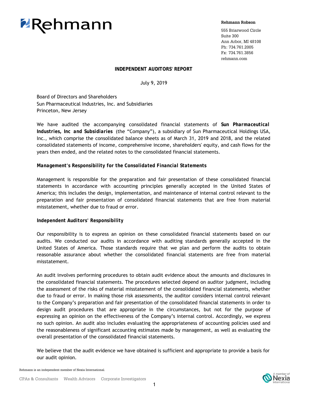# **ZRehmann**

#### **Rehmann Robson**

555 Briarwood Circle Suite 300 Ann Arbor, MI 48108 Ph: 734.761.2005 Fx: 734.761.3856 rehmann.com

### **INDEPENDENT AUDITORS' REPORT**

July 9, 2019

Board of Directors and Shareholders Sun Pharmaceutical Industries, Inc. and Subsidiaries Princeton, New Jersey

We have audited the accompanying consolidated financial statements of *Sun Pharmaceutical Industries, Inc and Subsidiaries* (the "Company"), a subsidiary of Sun Pharmaceutical Holdings USA, Inc., which comprise the consolidated balance sheets as of March 31, 2019 and 2018, and the related consolidated statements of income, comprehensive income, shareholders' equity, and cash flows for the years then ended, and the related notes to the consolidated financial statements.

### *Management's Responsibility for the Consolidated Financial Statements*

Management is responsible for the preparation and fair presentation of these consolidated financial statements in accordance with accounting principles generally accepted in the United States of America; this includes the design, implementation, and maintenance of internal control relevant to the preparation and fair presentation of consolidated financial statements that are free from material misstatement, whether due to fraud or error.

### *Independent Auditors' Responsibility*

Our responsibility is to express an opinion on these consolidated financial statements based on our audits. We conducted our audits in accordance with auditing standards generally accepted in the United States of America. Those standards require that we plan and perform the audits to obtain reasonable assurance about whether the consolidated financial statements are free from material misstatement.

An audit involves performing procedures to obtain audit evidence about the amounts and disclosures in the consolidated financial statements. The procedures selected depend on auditor judgment, including the assessment of the risks of material misstatement of the consolidated financial statements, whether due to fraud or error. In making those risk assessments, the auditor considers internal control relevant to the Company's preparation and fair presentation of the consolidated financial statements in order to design audit procedures that are appropriate in the circumstances, but not for the purpose of expressing an opinion on the effectiveness of the Company's internal control. Accordingly, we express no such opinion. An audit also includes evaluating the appropriateness of accounting policies used and the reasonableness of significant accounting estimates made by management, as well as evaluating the overall presentation of the consolidated financial statements.

We believe that the audit evidence we have obtained is sufficient and appropriate to provide a basis for our audit opinion.

Rehmann is an independent member of Nexia International.

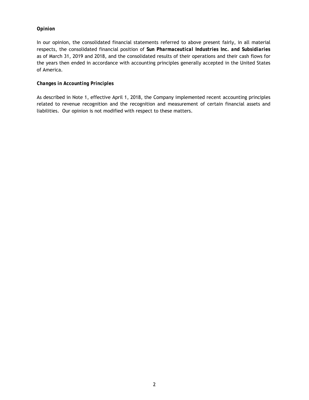### *Opinion*

In our opinion, the consolidated financial statements referred to above present fairly, in all material respects, the consolidated financial position of *Sun Pharmaceutical Industries Inc. and Subsidiaries* as of March 31, 2019 and 2018, and the consolidated results of their operations and their cash flows for the years then ended in accordance with accounting principles generally accepted in the United States of America.

### *Changes in Accounting Principles*

As described in Note 1, effective April 1, 2018, the Company implemented recent accounting principles related to revenue recognition and the recognition and measurement of certain financial assets and liabilities. Our opinion is not modified with respect to these matters.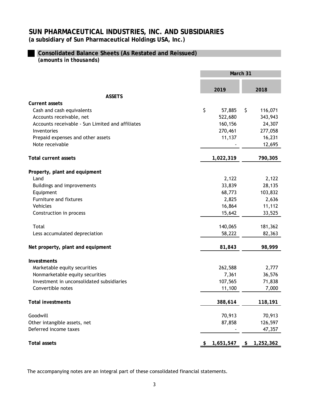### **Consolidated Balance Sheets (As Restated and Reissued)**

*(amounts in thousands)*

|                                                  | March 31     |    |           |  |
|--------------------------------------------------|--------------|----|-----------|--|
| <b>ASSETS</b>                                    | 2019         |    | 2018      |  |
| <b>Current assets</b>                            |              |    |           |  |
| Cash and cash equivalents                        | \$<br>57,885 | \$ | 116,071   |  |
| Accounts receivable, net                         | 522,680      |    | 343,943   |  |
| Accounts receivable - Sun Limited and affiliates | 160,156      |    | 24,307    |  |
| Inventories                                      | 270,461      |    | 277,058   |  |
| Prepaid expenses and other assets                | 11,137       |    | 16,231    |  |
| Note receivable                                  |              |    | 12,695    |  |
| <b>Total current assets</b>                      | 1,022,319    |    | 790,305   |  |
|                                                  |              |    |           |  |
| Property, plant and equipment<br>Land            | 2,122        |    | 2,122     |  |
| Buildings and improvements                       | 33,839       |    | 28,135    |  |
| Equipment                                        | 68,773       |    | 103,832   |  |
| Furniture and fixtures                           | 2,825        |    | 2,636     |  |
| <b>Vehicles</b>                                  | 16,864       |    | 11,112    |  |
| Construction in process                          | 15,642       |    | 33,525    |  |
| Total                                            | 140,065      |    | 181,362   |  |
| Less accumulated depreciation                    | 58,222       |    | 82,363    |  |
|                                                  |              |    |           |  |
| Net property, plant and equipment                | 81,843       |    | 98,999    |  |
| Investments                                      |              |    |           |  |
| Marketable equity securities                     | 262,588      |    | 2,777     |  |
| Nonmarketable equity securities                  | 7,361        |    | 36,576    |  |
| Investment in unconsolidated subsidiaries        | 107,565      |    | 71,838    |  |
| Convertible notes                                | 11,100       |    | 7,000     |  |
| <b>Total investments</b>                         | 388,614      |    | 118,191   |  |
| Goodwill                                         | 70,913       |    | 70,913    |  |
| Other intangible assets, net                     | 87,858       |    | 126,597   |  |
| Deferred income taxes                            |              |    | 47,357    |  |
| <b>Total assets</b>                              | 1,651,547    | \$ | 1,252,362 |  |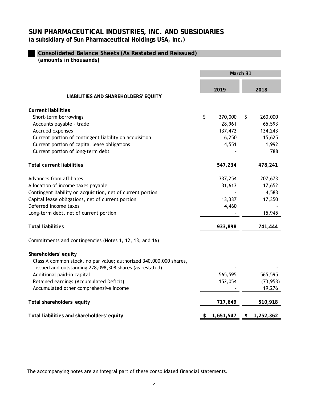### **Consolidated Balance Sheets (As Restated and Reissued)**

*(amounts in thousands)*

|                                                                    | March 31        |    |           |  |
|--------------------------------------------------------------------|-----------------|----|-----------|--|
|                                                                    | 2019            |    | 2018      |  |
| LIABILITIES AND SHAREHOLDERS' EQUITY                               |                 |    |           |  |
| <b>Current liabilities</b>                                         |                 |    |           |  |
| Short-term borrowings                                              | \$<br>370,000   | \$ | 260,000   |  |
| Accounts payable - trade                                           | 28,961          |    | 65,593    |  |
| Accrued expenses                                                   | 137,472         |    | 134,243   |  |
| Current portion of contingent liability on acquisition             | 6,250           |    | 15,625    |  |
| Current portion of capital lease obligations                       | 4,551           |    | 1,992     |  |
| Current portion of long-term debt                                  |                 |    | 788       |  |
| <b>Total current liabilities</b>                                   | 547,234         |    | 478,241   |  |
| Advances from affiliates                                           | 337,254         |    | 207,673   |  |
| Allocation of income taxes payable                                 | 31,613          |    | 17,652    |  |
| Contingent liability on acquisition, net of current portion        |                 |    | 4,583     |  |
| Capital lease obligations, net of current portion                  | 13,337          |    | 17,350    |  |
| Deferred income taxes                                              | 4,460           |    |           |  |
| Long-term debt, net of current portion                             |                 |    | 15,945    |  |
| <b>Total liabilities</b>                                           | 933,898         |    | 741,444   |  |
| Commitments and contingencies (Notes 1, 12, 13, and 16)            |                 |    |           |  |
| Shareholders' equity                                               |                 |    |           |  |
| Class A common stock, no par value; authorized 340,000,000 shares, |                 |    |           |  |
| issued and outstanding 228,098,308 shares (as restated)            |                 |    |           |  |
| Additional paid-in capital                                         | 565,595         |    | 565,595   |  |
| Retained earnings (Accumulated Deficit)                            | 152,054         |    | (73, 953) |  |
| Accumulated other comprehensive income                             |                 |    | 19,276    |  |
| Total shareholders' equity                                         | 717,649         |    | 510,918   |  |
| Total liabilities and shareholders' equity                         | \$<br>1,651,547 | \$ | 1,252,362 |  |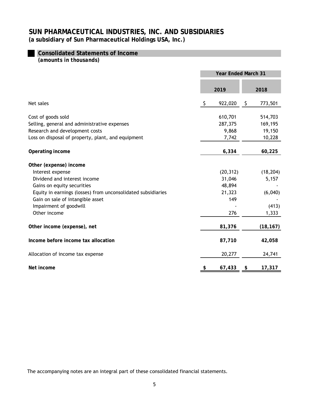### **Consolidated Statements of Income**

*(amounts in thousands)*

|                                                              | <b>Year Ended March 31</b> |            |           |  |
|--------------------------------------------------------------|----------------------------|------------|-----------|--|
|                                                              | 2019                       |            | 2018      |  |
| Net sales                                                    | \$<br>922,020              | $\sqrt{5}$ | 773,501   |  |
| Cost of goods sold                                           | 610,701                    |            | 514,703   |  |
| Selling, general and administrative expenses                 | 287,375                    |            | 169,195   |  |
| Research and development costs                               | 9,868                      |            | 19,150    |  |
| Loss on disposal of property, plant, and equipment           | 7,742                      |            | 10,228    |  |
| Operating income                                             | 6,334                      |            | 60,225    |  |
| Other (expense) income                                       |                            |            |           |  |
| Interest expense                                             | (20, 312)                  |            | (18, 204) |  |
| Dividend and interest income                                 | 31,046                     |            | 5,157     |  |
| Gains on equity securities                                   | 48,894                     |            |           |  |
| Equity in earnings (losses) from unconsolidated subsidiaries | 21,323                     |            | (6,040)   |  |
| Gain on sale of intangible asset                             | 149                        |            |           |  |
| Impairment of goodwill                                       |                            |            | (413)     |  |
| Other income                                                 | 276                        |            | 1,333     |  |
| Other income (expense), net                                  | 81,376                     |            | (18, 167) |  |
| Income before income tax allocation                          | 87,710                     |            | 42,058    |  |
| Allocation of income tax expense                             | 20,277                     |            | 24,741    |  |
| Net income                                                   | 67,433                     | \$         | 17,317    |  |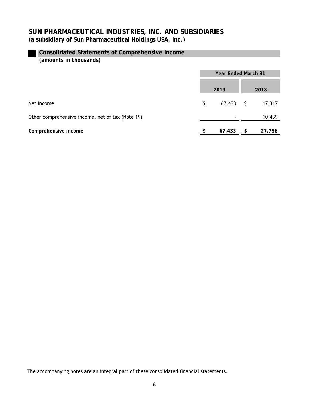### **Consolidated Statements of Comprehensive Income**

*(amounts in thousands)*

|                                                  |    | <b>Year Ended March 31</b> |        |        |  |
|--------------------------------------------------|----|----------------------------|--------|--------|--|
|                                                  |    | 2019                       |        | 2018   |  |
| Net income                                       | S. | $67,433$ \$                |        | 17,317 |  |
| Other comprehensive income, net of tax (Note 19) |    | ۰.                         |        | 10,439 |  |
| Comprehensive income                             |    | 67,433                     | $\sim$ | 27,756 |  |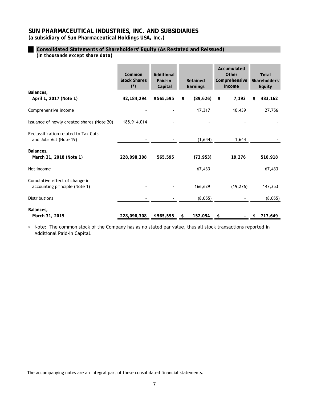**(a subsidiary of Sun Pharmaceutical Holdings USA, Inc.)**

### **Consolidated Statements of Shareholders' Equity (As Restated and Reissued)**

*(in thousands except share data)*

|                                                                 | Common<br><b>Stock Shares</b><br>$(*)$ | Additional<br>Paid-in<br>Capital | Retained<br>Earnings | Accumulated<br>Other<br>Comprehensive<br>Income | <b>Total</b><br>Shareholders'<br>Equity |
|-----------------------------------------------------------------|----------------------------------------|----------------------------------|----------------------|-------------------------------------------------|-----------------------------------------|
| Balances,<br>April 1, 2017 (Note 1)                             | 42, 184, 294                           | \$565,595                        | (89, 626)<br>\$      | 7,193<br>\$                                     | 483,162<br>S                            |
| Comprehensive income                                            |                                        |                                  | 17,317               | 10,439                                          | 27,756                                  |
| Issuance of newly created shares (Note 20)                      | 185,914,014                            |                                  |                      |                                                 |                                         |
| Reclassification related to Tax Cuts<br>and Jobs Act (Note 19)  |                                        |                                  | (1,644)              | 1,644                                           |                                         |
| Balances,<br>March 31, 2018 (Note 1)                            | 228,098,308                            | 565,595                          | (73, 953)            | 19,276                                          | 510,918                                 |
| Net income                                                      |                                        |                                  | 67,433               |                                                 | 67,433                                  |
| Cumulative effect of change in<br>accounting principle (Note 1) |                                        |                                  | 166,629              | (19, 276)                                       | 147,353                                 |
| <b>Distributions</b>                                            |                                        |                                  | (8,055)              |                                                 | (8,055)                                 |
| Balances,<br>March 31, 2019                                     | 228,098,308                            | \$565,595                        | 152,054              |                                                 | 717,649                                 |

\* Note: The common stock of the Company has as no stated par value, thus all stock transactions reported in Additional Paid-In Capital.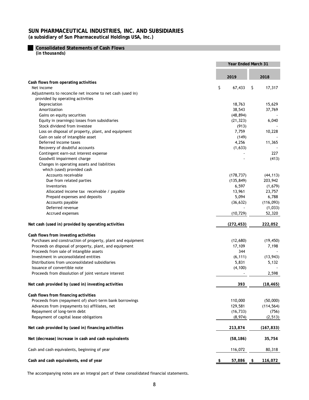**Consolidated Statements of Cash Flows**

*(in thousands)*

|                                                             | Year Ended March 31 |               |  |
|-------------------------------------------------------------|---------------------|---------------|--|
|                                                             | 2019                | 2018          |  |
| Cash flows from operating activities                        |                     |               |  |
| Net income                                                  | \$<br>67,433        | \$.<br>17,317 |  |
| Adjustments to reconcile net income to net cash (used in)   |                     |               |  |
| provided by operating activities                            |                     |               |  |
| Depreciation                                                | 18,763              | 15,629        |  |
| Amortization                                                | 38,543              | 37,769        |  |
| Gains on equity securities                                  | (48, 894)           |               |  |
| Equity in (earnings) losses from subsidiaries               | (21, 323)           | 6,040         |  |
| Stock dividend from investee                                | (913)               |               |  |
| Loss on disposal of property, plant, and equipment          | 7,759               | 10,228        |  |
| Gain on sale of intangible asset                            | (149)               |               |  |
| Deferred income taxes                                       | 4,256               | 11,365        |  |
| Recovery of doubtful accounts                               | (1,633)             |               |  |
| Contingent earn-out interest expense                        |                     | 227           |  |
| Goodwill impairment charge                                  |                     | (413)         |  |
| Changes in operating assets and liabilities                 |                     |               |  |
| which (used) provided cash                                  |                     |               |  |
| Accounts receivable                                         | (178, 737)          | (44, 113)     |  |
| Due from related parties                                    | (135, 849)          | 203,942       |  |
| Inventories                                                 | 6,597               | (1,679)       |  |
| Allocated income tax receivable / payable                   | 13,961              | 23,757        |  |
| Prepaid expenses and deposits                               | 5,094               | 6,788         |  |
| Accounts payable                                            | (36, 632)           | (116, 093)    |  |
| Deferred revenue                                            |                     | (1,033)       |  |
| Accrued expenses                                            | (10, 729)           | 52,320        |  |
| Net cash (used in) provided by operating activities         | (272, 453)          | 222,052       |  |
| Cash flows from investing activities                        |                     |               |  |
| Purchases and construction of property, plant and equipment | (12,680)            | (19, 450)     |  |
| Proceeds on disposal of property, plant, and equipment      | 17,109              | 7,198         |  |
| Proceeds from sale of intangible assets                     | 344                 |               |  |
| Investment in unconsolidated entities                       | (6, 111)            | (13, 943)     |  |
| Distributions from unconsolidated subsidiaries              | 5,831               | 5,132         |  |
| Issuance of convertible note                                | (4, 100)            |               |  |
| Proceeds from dissolution of joint venture interest         |                     | 2,598         |  |
| Net cash provided by (used in) investing activities         | 393                 | (18, 465)     |  |
| Cash flows from financing activities                        |                     |               |  |
| Proceeds from (repayment of) short-term bank borrowings     | 110,000             | (50,000)      |  |
| Advances from (repayments to) affiliates, net               | 129,581             | (114, 564)    |  |
| Repayment of long-term debt                                 | (16, 733)           | (756)         |  |
| Repayment of capital lease obligations                      | (8,974)             | (2, 513)      |  |
| Net cash provided by (used in) financing activities         | 213,874             | (167, 833)    |  |
| Net (decrease) increase in cash and cash equivalents        | (58, 186)           | 35,754        |  |
| Cash and cash equivalents, beginning of year                | 116,072             | 80,318        |  |
| Cash and cash equivalents, end of year                      | $57,886$ \$         | 116,072       |  |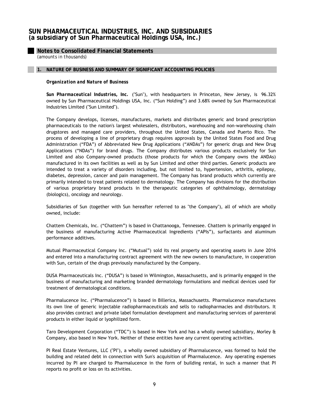#### **Notes to Consolidated Financial Statements** *(amounts in thousands)*

### **1. NATURE OF BUSINESS AND SUMMARY OF SIGNIFICANT ACCOUNTING POLICIES**

### *Organization and Nature of Business*

*Sun Pharmaceutical Industries, Inc.* ("Sun"), with headquarters in Princeton, New Jersey, is 96.32% owned by Sun Pharmaceutical Holdings USA, Inc. ("Sun Holding") and 3.68% owned by Sun Pharmaceutical Industries Limited ("Sun Limited").

The Company develops, licenses, manufactures, markets and distributes generic and brand prescription pharmaceuticals to the nation's largest wholesalers, distributors, warehousing and non-warehousing chain drugstores and managed care providers, throughout the United States, Canada and Puerto Rico. The process of developing a line of proprietary drugs requires approvals by the United States Food and Drug Administration ("FDA") of Abbreviated New Drug Applications ("ANDAs") for generic drugs and New Drug Applications ("NDAs") for brand drugs. The Company distributes various products exclusively for Sun Limited and also Company-owned products (those products for which the Company owns the ANDAs) manufactured in its own facilities as well as by Sun Limited and other third parties. Generic products are intended to treat a variety of disorders including, but not limited to, hypertension, arthritis, epilepsy, diabetes, depression, cancer and pain management. The Company has brand products which currently are primarily intended to treat patients related to dermatology. The Company has divisions for the distribution of various proprietary brand products in the therapeutic categories of ophthalmology, dermatology (biologics), oncology and neurology.

Subsidiaries of Sun (together with Sun hereafter referred to as "the Company"), all of which are wholly owned, include:

Chattem Chemicals, Inc. ("Chattem") is based in Chattanooga, Tennessee. Chattem is primarily engaged in the business of manufacturing Active Pharmaceutical Ingredients ("APIs"), surfactants and aluminum performance additives.

Mutual Pharmaceutical Company Inc. ("Mutual") sold its real property and operating assets in June 2016 and entered into a manufacturing contract agreement with the new owners to manufacture, in cooperation with Sun, certain of the drugs previously manufactured by the Company.

DUSA Pharmaceuticals Inc. ("DUSA") is based in Wilmington, Massachusetts, and is primarily engaged in the business of manufacturing and marketing branded dermatology formulations and medical devices used for treatment of dermatological conditions.

Pharmalucence Inc. ("Pharmalucence") is based in Billerica, Massachusetts. Pharmalucence manufactures its own line of generic injectable radiopharmaceuticals and sells to radiopharmacies and distributors. It also provides contract and private label formulation development and manufacturing services of parenteral products in either liquid or lyophilized form.

Taro Development Corporation ("TDC") is based in New York and has a wholly owned subsidiary, Morley & Company, also based in New York. Neither of these entities have any current operating activities.

PI Real Estate Ventures, LLC ("PI"), a wholly owned subsidiary of Pharmalucence, was formed to hold the building and related debt in connection with Sun's acquisition of Pharmalucence. Any operating expenses incurred by PI are charged to Pharmalucence in the form of building rental, in such a manner that PI reports no profit or loss on its activities.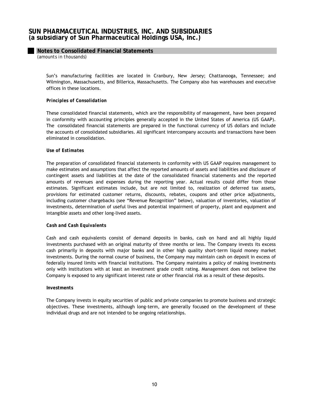### **Notes to Consolidated Financial Statements**

*(amounts in thousands)*

Sun's manufacturing facilities are located in Cranbury, New Jersey; Chattanooga, Tennessee; and Wilmington, Massachusetts, and Billerica, Massachusetts. The Company also has warehouses and executive offices in these locations.

### *Principles of Consolidation*

These consolidated financial statements, which are the responsibility of management, have been prepared in conformity with accounting principles generally accepted in the United States of America (US GAAP). The consolidated financial statements are prepared in the functional currency of US dollars and include the accounts of consolidated subsidiaries. All significant intercompany accounts and transactions have been eliminated in consolidation.

### *Use of Estimates*

The preparation of consolidated financial statements in conformity with US GAAP requires management to make estimates and assumptions that affect the reported amounts of assets and liabilities and disclosure of contingent assets and liabilities at the date of the consolidated financial statements and the reported amounts of revenues and expenses during the reporting year. Actual results could differ from those estimates. Significant estimates include, but are not limited to, realization of deferred tax assets, provisions for estimated customer returns, discounts, rebates, coupons and other price adjustments, including customer chargebacks (see "Revenue Recognition" below), valuation of inventories, valuation of investments, determination of useful lives and potential impairment of property, plant and equipment and intangible assets and other long-lived assets.

#### *Cash and Cash Equivalents*

Cash and cash equivalents consist of demand deposits in banks, cash on hand and all highly liquid investments purchased with an original maturity of three months or less. The Company invests its excess cash primarily in deposits with major banks and in other high quality short-term liquid money market investments. During the normal course of business, the Company may maintain cash on deposit in excess of federally insured limits with financial institutions. The Company maintains a policy of making investments only with institutions with at least an investment grade credit rating. Management does not believe the Company is exposed to any significant interest rate or other financial risk as a result of these deposits.

#### *Investments*

The Company invests in equity securities of public and private companies to promote business and strategic objectives. These investments, although long-term, are generally focused on the development of these individual drugs and are not intended to be ongoing relationships.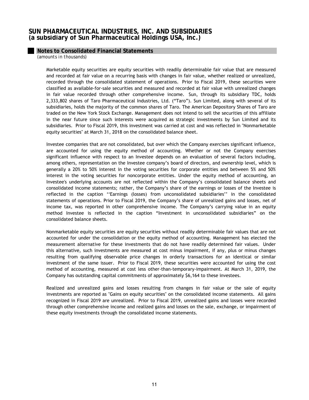### **Notes to Consolidated Financial Statements**

*(amounts in thousands)*

Marketable equity securities are equity securities with readily determinable fair value that are measured and recorded at fair value on a recurring basis with changes in fair value, whether realized or unrealized, recorded through the consolidated statement of operations. Prior to Fiscal 2019, these securities were classified as available-for-sale securities and measured and recorded at fair value with unrealized changes in fair value recorded through other comprehensive income. Sun, through its subsidiary TDC, holds 2,333,802 shares of Taro Pharmaceutical Industries, Ltd. ("Taro"). Sun Limited, along with several of its subsidiaries, holds the majority of the common shares of Taro. The American Depository Shares of Taro are traded on the New York Stock Exchange. Management does not intend to sell the securities of this affiliate in the near future since such interests were acquired as strategic investments by Sun Limited and its subsidiaries. Prior to Fiscal 2019, this investment was carried at cost and was reflected in "Nonmarketable equity securities" at March 31, 2018 on the consolidated balance sheet.

Investee companies that are not consolidated, but over which the Company exercises significant influence, are accounted for using the equity method of accounting. Whether or not the Company exercises significant influence with respect to an Investee depends on an evaluation of several factors including, among others, representation on the Investee company's board of directors, and ownership level, which is generally a 20% to 50% interest in the voting securities for corporate entities and between 5% and 50% interest in the voting securities for noncorporate entities. Under the equity method of accounting, an Investee's underlying accounts are not reflected within the Company's consolidated balance sheets and consolidated income statements; rather, the Company's share of the earnings or losses of the Investee is reflected in the caption ''Earnings (losses) from unconsolidated subsidiaries'' in the consolidated statements of operations. Prior to Fiscal 2019, the Company's share of unrealized gains and losses, net of income tax, was reported in other comprehensive income. The Company's carrying value in an equity method Investee is reflected in the caption "Investment in unconsolidated subsidiaries" on the consolidated balance sheets.

Nonmarketable equity securities are equity securities without readily determinable fair values that are not accounted for under the consolidation or the equity method of accounting. Management has elected the measurement alternative for these investments that do not have readily determined fair values. Under this alternative, such investments are measured at cost minus impairment, if any, plus or minus changes resulting from qualifying observable price changes in orderly transactions for an identical or similar investment of the same issuer. Prior to Fiscal 2019, these securities were accounted for using the cost method of accounting, measured at cost less other-than-temporary-impairment. At March 31, 2019, the Company has outstanding capital commitments of approximately \$6,164 to these investees.

Realized and unrealized gains and losses resulting from changes in fair value or the sale of equity investments are reported as "Gains on equity securities" on the consolidated income statements. All gains recognized in Fiscal 2019 are unrealized. Prior to Fiscal 2019, unrealized gains and losses were recorded through other comprehensive income and realized gains and losses on the sale, exchange, or impairment of these equity investments through the consolidated income statements.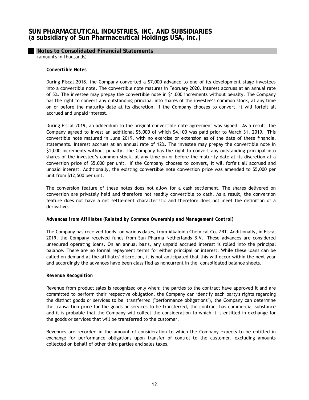### **Notes to Consolidated Financial Statements**

*(amounts in thousands)*

### *Convertible Notes*

During Fiscal 2018, the Company converted a \$7,000 advance to one of its development stage investees into a convertible note. The convertible note matures in February 2020. Interest accrues at an annual rate of 5%. The investee may prepay the convertible note in \$1,000 increments without penalty. The Company has the right to convert any outstanding principal into shares of the investee's common stock, at any time on or before the maturity date at its discretion. If the Company chooses to convert, it will forfeit all accrued and unpaid interest.

During Fiscal 2019, an addendum to the original convertible note agreement was signed. As a result, the Company agreed to invest an additional \$5,000 of which \$4,100 was paid prior to March 31, 2019. This convertible note matured in June 2019, with no exercise or extension as of the date of these financial statements. Interest accrues at an annual rate of 12%. The investee may prepay the convertible note in \$1,000 increments without penalty. The Company has the right to convert any outstanding principal into shares of the investee's common stock, at any time on or before the maturity date at its discretion at a conversion price of \$5,000 per unit. If the Company chooses to convert, it will forfeit all accrued and unpaid interest. Additionally, the existing convertible note conversion price was amended to \$5,000 per unit from \$12,500 per unit.

The conversion feature of these notes does not allow for a cash settlement. The shares delivered on conversion are privately held and therefore not readily convertible to cash. As a result, the conversion feature does not have a net settlement characteristic and therefore does not meet the definition of a derivative.

#### *Advances from Affiliates (Related by Common Ownership and Management Control)*

The Company has received funds, on various dates, from Alkaloida Chemical Co. ZRT. Additionally, in Fiscal 2019, the Company received funds from Sun Pharma Netherlands B.V. These advances are considered unsecured operating loans. On an annual basis, any unpaid accrued interest is rolled into the principal balance. There are no formal repayment terms for either principal or interest. While these loans can be called on demand at the affiliates' discretion, it is not anticipated that this will occur within the next year and accordingly the advances have been classified as noncurrent in the consolidated balance sheets.

#### *Revenue Recognition*

Revenue from product sales is recognized only when: the parties to the contract have approved it and are committed to perform their respective obligation, the Company can identify each party's rights regarding the distinct goods or services to be transferred ("performance obligations"), the Company can determine the transaction price for the goods or services to be transferred, the contract has commercial substance and it is probable that the Company will collect the consideration to which it is entitled in exchange for the goods or services that will be transferred to the customer.

Revenues are recorded in the amount of consideration to which the Company expects to be entitled in exchange for performance obligations upon transfer of control to the customer, excluding amounts collected on behalf of other third parties and sales taxes.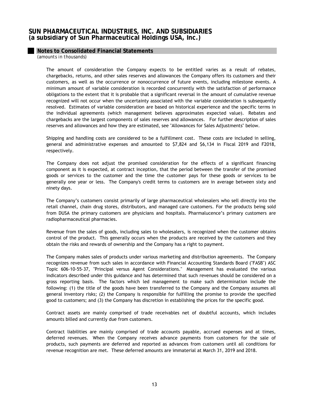### **Notes to Consolidated Financial Statements**

*(amounts in thousands)*

The amount of consideration the Company expects to be entitled varies as a result of rebates, chargebacks, returns, and other sales reserves and allowances the Company offers its customers and their customers, as well as the occurrence or nonoccurrence of future events, including milestone events. A minimum amount of variable consideration is recorded concurrently with the satisfaction of performance obligations to the extent that it is probable that a significant reversal in the amount of cumulative revenue recognized will not occur when the uncertainty associated with the variable consideration is subsequently resolved. Estimates of variable consideration are based on historical experience and the specific terms in the individual agreements (which management believes approximates expected value). Rebates and chargebacks are the largest components of sales reserves and allowances. For further description of sales reserves and allowances and how they are estimated, see "Allowances for Sales Adjustments" below.

Shipping and handling costs are considered to be a fulfillment cost. These costs are included in selling, general and administrative expenses and amounted to \$7,824 and \$6,134 in Fiscal 2019 and F2018, respectively.

The Company does not adjust the promised consideration for the effects of a significant financing component as it is expected, at contract inception, that the period between the transfer of the promised goods or services to the customer and the time the customer pays for these goods or services to be generally one year or less. The Company's credit terms to customers are in average between sixty and ninety days.

The Company's customers consist primarily of large pharmaceutical wholesalers who sell directly into the retail channel, chain drug stores, distributors, and managed care customers. For the products being sold from DUSA the primary customers are physicians and hospitals. Pharmalucence's primary customers are radiopharmaceutical pharmacies.

Revenue from the sales of goods, including sales to wholesalers, is recognized when the customer obtains control of the product. This generally occurs when the products are received by the customers and they obtain the risks and rewards of ownership and the Company has a right to payment.

The Company makes sales of products under various marketing and distribution agreements. The Company recognizes revenue from such sales in accordance with Financial Accounting Standards Board ("FASB") ASC Topic 606-10-55-37, "Principal versus Agent Considerations." Management has evaluated the various indicators described under this guidance and has determined that such revenues should be considered on a gross reporting basis. The factors which led management to make such determination include the following: (1) the title of the goods have been transferred to the Company and the Company assumes all general inventory risks; (2) the Company is responsible for fulfilling the promise to provide the specified good to customers; and (3) the Company has discretion in establishing the prices for the specific good.

Contract assets are mainly comprised of trade receivables net of doubtful accounts, which includes amounts billed and currently due from customers.

Contract liabilities are mainly comprised of trade accounts payable, accrued expenses and at times, deferred revenues. When the Company receives advance payments from customers for the sale of products, such payments are deferred and reported as advances from customers until all conditions for revenue recognition are met. These deferred amounts are immaterial at March 31, 2019 and 2018.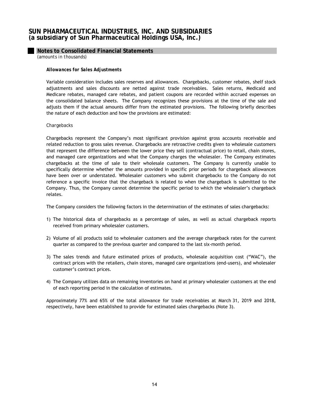### **Notes to Consolidated Financial Statements**

*(amounts in thousands)*

### *Allowances for Sales Adjustments*

Variable consideration includes sales reserves and allowances. Chargebacks, customer rebates, shelf stock adjustments and sales discounts are netted against trade receivables. Sales returns, Medicaid and Medicare rebates, managed care rebates, and patient coupons are recorded within accrued expenses on the consolidated balance sheets. The Company recognizes these provisions at the time of the sale and adjusts them if the actual amounts differ from the estimated provisions. The following briefly describes the nature of each deduction and how the provisions are estimated:

#### *Chargebacks*

Chargebacks represent the Company's most significant provision against gross accounts receivable and related reduction to gross sales revenue. Chargebacks are retroactive credits given to wholesale customers that represent the difference between the lower price they sell (contractual price) to retail, chain stores, and managed care organizations and what the Company charges the wholesaler. The Company estimates chargebacks at the time of sale to their wholesale customers. The Company is currently unable to specifically determine whether the amounts provided in specific prior periods for chargeback allowances have been over or understated. Wholesaler customers who submit chargebacks to the Company do not reference a specific invoice that the chargeback is related to when the chargeback is submitted to the Company. Thus, the Company cannot determine the specific period to which the wholesaler's chargeback relates.

The Company considers the following factors in the determination of the estimates of sales chargebacks:

- 1) The historical data of chargebacks as a percentage of sales, as well as actual chargeback reports received from primary wholesaler customers.
- 2) Volume of all products sold to wholesaler customers and the average chargeback rates for the current quarter as compared to the previous quarter and compared to the last six-month period.
- 3) The sales trends and future estimated prices of products, wholesale acquisition cost ("WAC"), the contract prices with the retailers, chain stores, managed care organizations (end-users), and wholesaler customer's contract prices.
- 4) The Company utilizes data on remaining inventories on hand at primary wholesaler customers at the end of each reporting period in the calculation of estimates.

Approximately 77% and 65% of the total allowance for trade receivables at March 31, 2019 and 2018, respectively, have been established to provide for estimated sales chargebacks (Note 3).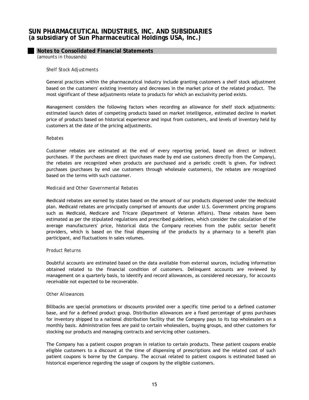### **Notes to Consolidated Financial Statements**

*(amounts in thousands)*

#### *Shelf Stock Adjustments*

General practices within the pharmaceutical industry include granting customers a shelf stock adjustment based on the customers' existing inventory and decreases in the market price of the related product. The most significant of these adjustments relate to products for which an exclusivity period exists.

Management considers the following factors when recording an allowance for shelf stock adjustments: estimated launch dates of competing products based on market intelligence, estimated decline in market price of products based on historical experience and input from customers, and levels of inventory held by customers at the date of the pricing adjustments.

#### *Rebates*

Customer rebates are estimated at the end of every reporting period, based on direct or indirect purchases. If the purchases are direct (purchases made by end use customers directly from the Company), the rebates are recognized when products are purchased and a periodic credit is given. For indirect purchases (purchases by end use customers through wholesale customers), the rebates are recognized based on the terms with such customer.

#### *Medicaid and Other Governmental Rebates*

Medicaid rebates are earned by states based on the amount of our products dispensed under the Medicaid plan. Medicaid rebates are principally comprised of amounts due under U.S. Government pricing programs such as Medicaid, Medicare and Tricare (Department of Veteran Affairs). These rebates have been estimated as per the stipulated regulations and prescribed guidelines, which consider the calculation of the average manufacturers' price, historical data the Company receives from the public sector benefit providers, which is based on the final dispensing of the products by a pharmacy to a benefit plan participant, and fluctuations in sales volumes.

#### *Product Returns*

Doubtful accounts are estimated based on the data available from external sources, including information obtained related to the financial condition of customers. Delinquent accounts are reviewed by management on a quarterly basis, to identify and record allowances, as considered necessary, for accounts receivable not expected to be recoverable.

#### *Other Allowances*

Billbacks are special promotions or discounts provided over a specific time period to a defined customer base, and for a defined product group. Distribution allowances are a fixed percentage of gross purchases for inventory shipped to a national distribution facility that the Company pays to its top wholesalers on a monthly basis. Administration fees are paid to certain wholesalers, buying groups, and other customers for stocking our products and managing contracts and servicing other customers.

The Company has a patient coupon program in relation to certain products. These patient coupons enable eligible customers to a discount at the time of dispensing of prescriptions and the related cost of such patient coupons is borne by the Company. The accrual related to patient coupons is estimated based on historical experience regarding the usage of coupons by the eligible customers.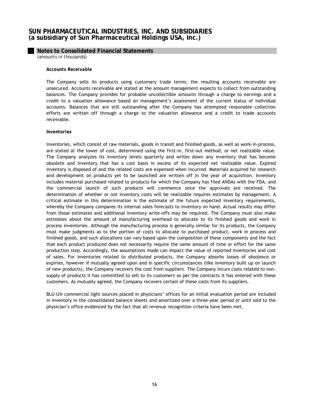### **Notes to Consolidated Financial Statements**

*(amounts in thousands)*

#### *Accounts Receivable*

The Company sells its products using customary trade terms; the resulting accounts receivable are unsecured. Accounts receivable are stated at the amount management expects to collect from outstanding balances. The Company provides for probable uncollectible amounts through a charge to earnings and a credit to a valuation allowance based on management's assessment of the current status of individual accounts. Balances that are still outstanding after the Company has attempted reasonable collection efforts are written off through a charge to the valuation allowance and a credit to trade accounts receivable.

#### *Inventories*

Inventories, which consist of raw materials, goods in transit and finished goods, as well as work-in-process, are stated at the lower of cost, determined using the first-in, first-out method, or net realizable value. The Company analyzes its inventory levels quarterly and writes down any inventory that has become obsolete and inventory that has a cost basis in excess of its expected net realizable value. Expired inventory is disposed of and the related costs are expensed when incurred. Materials acquired for research and development on products yet to be launched are written off in the year of acquisition. Inventory includes material purchased related to products for which the Company has filed ANDAs with the FDA, and the commercial launch of such products will commence once the approvals are received. The determination of whether or not inventory costs will be realizable requires estimates by management. A critical estimate in this determination is the estimate of the future expected inventory requirements, whereby the Company compares its internal sales forecasts to inventory on hand. Actual results may differ from those estimates and additional inventory write-offs may be required. The Company must also make estimates about the amount of manufacturing overhead to allocate to its finished goods and work in process inventories. Although the manufacturing process is generally similar for its products, the Company must make judgments as to the portion of costs to allocate to purchased product, work in process and finished goods, and such allocations can vary based upon the composition of these components and the fact that each product produced does not necessarily require the same amount of time or effort for the same production step. Accordingly, the assumptions made can impact the value of reported inventories and cost of sales. For inventories related to distributed products, the Company absorbs losses of obsolesce or expiries, however if mutually agreed upon and in specific circumstances (like inventory built up on launch of new products), the Company recovers the cost from suppliers. The Company incurs costs related to nonsupply of products it has committed to sell to its customers as per the contracts it has entered with these customers. As mutually agreed, the Company recovers certain of these costs from its suppliers.

BLU-U® commercial light sources placed in physicians' offices for an initial evaluation period are included in inventory in the consolidated balance sheets and amortized over a three-year period or until sold to the physician's office evidenced by the fact that all revenue recognition criteria have been met.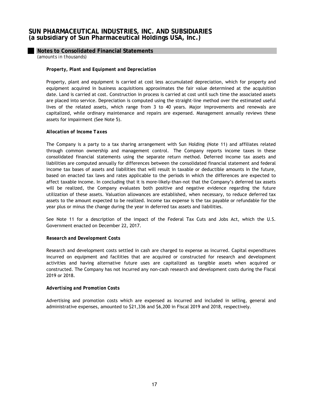### **Notes to Consolidated Financial Statements**

*(amounts in thousands)*

### *Property, Plant and Equipment and Depreciation*

Property, plant and equipment is carried at cost less accumulated depreciation, which for property and equipment acquired in business acquisitions approximates the fair value determined at the acquisition date. Land is carried at cost. Construction in process is carried at cost until such time the associated assets are placed into service. Depreciation is computed using the straight-line method over the estimated useful lives of the related assets, which range from 3 to 40 years. Major improvements and renewals are capitalized, while ordinary maintenance and repairs are expensed. Management annually reviews these assets for impairment (See Note 5).

#### *Allocation of Income Taxes*

The Company is a party to a tax sharing arrangement with Sun Holding (Note 11) and affiliates related through common ownership and management control. The Company reports income taxes in these consolidated financial statements using the separate return method. Deferred income tax assets and liabilities are computed annually for differences between the consolidated financial statement and federal income tax bases of assets and liabilities that will result in taxable or deductible amounts in the future, based on enacted tax laws and rates applicable to the periods in which the differences are expected to affect taxable income. In concluding that it is more-likely-than-not that the Company's deferred tax assets will be realized, the Company evaluates both positive and negative evidence regarding the future utilization of these assets. Valuation allowances are established, when necessary, to reduce deferred tax assets to the amount expected to be realized. Income tax expense is the tax payable or refundable for the year plus or minus the change during the year in deferred tax assets and liabilities.

See Note 11 for a description of the impact of the Federal Tax Cuts and Jobs Act, which the U.S. Government enacted on December 22, 2017.

#### *Research and Development Costs*

Research and development costs settled in cash are charged to expense as incurred. Capital expenditures incurred on equipment and facilities that are acquired or constructed for research and development activities and having alternative future uses are capitalized as tangible assets when acquired or constructed. The Company has not incurred any non-cash research and development costs during the Fiscal 2019 or 2018.

#### *Advertising and Promotion Costs*

Advertising and promotion costs which are expensed as incurred and included in selling, general and administrative expenses, amounted to \$21,336 and \$6,200 in Fiscal 2019 and 2018, respectively.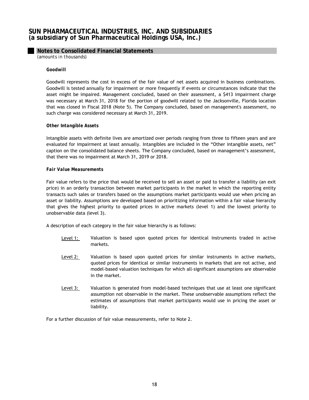### **Notes to Consolidated Financial Statements**

*(amounts in thousands)*

### *Goodwill*

Goodwill represents the cost in excess of the fair value of net assets acquired in business combinations. Goodwill is tested annually for impairment or more frequently if events or circumstances indicate that the asset might be impaired. Management concluded, based on their assessment, a \$413 impairment charge was necessary at March 31, 2018 for the portion of goodwill related to the Jacksonville, Florida location that was closed in Fiscal 2018 (Note 5). The Company concluded, based on management's assessment, no such charge was considered necessary at March 31, 2019.

### *Other Intangible Assets*

Intangible assets with definite lives are amortized over periods ranging from three to fifteen years and are evaluated for impairment at least annually. Intangibles are included in the "Other intangible assets, net" caption on the consolidated balance sheets. The Company concluded, based on management's assessment, that there was no impairment at March 31, 2019 or 2018.

### *Fair Value Measurements*

Fair value refers to the price that would be received to sell an asset or paid to transfer a liability (an exit price) in an orderly transaction between market participants in the market in which the reporting entity transacts such sales or transfers based on the assumptions market participants would use when pricing an asset or liability. Assumptions are developed based on prioritizing information within a fair value hierarchy that gives the highest priority to quoted prices in active markets (level 1) and the lowest priority to unobservable data (level 3).

A description of each category in the fair value hierarchy is as follows:

- Level 1: Valuation is based upon quoted prices for identical instruments traded in active markets.
- Level 2: Valuation is based upon quoted prices for similar instruments in active markets, quoted prices for identical or similar instruments in markets that are not active, and model-based valuation techniques for which all-significant assumptions are observable in the market.
- Level 3: Valuation is generated from model-based techniques that use at least one significant assumption not observable in the market. These unobservable assumptions reflect the estimates of assumptions that market participants would use in pricing the asset or liability.

For a further discussion of fair value measurements, refer to Note 2.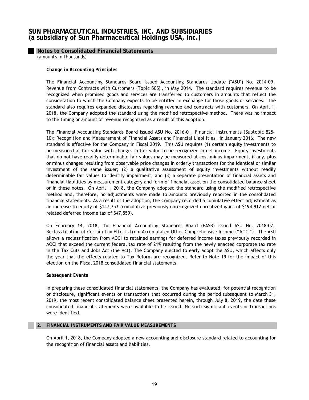### **Notes to Consolidated Financial Statements**

*(amounts in thousands)*

### *Change in Accounting Principles*

The Financial Accounting Standards Board issued Accounting Standards Update ("ASU") No. 2014-09, *Revenue from Contracts with Customers (Topic 606)* , in May 2014. The standard requires revenue to be recognized when promised goods and services are transferred to customers in amounts that reflect the consideration to which the Company expects to be entitled in exchange for those goods or services. The standard also requires expanded disclosures regarding revenue and contracts with customers. On April 1, 2018, the Company adopted the standard using the modified retrospective method. There was no impact to the timing or amount of revenue recognized as a result of this adoption.

The Financial Accounting Standards Board issued ASU No. 2016-01, *Financial Instruments (Subtopic 825- 10): Recognition and Measurement of Financial Assets and Financial Liabilities* , in January 2016. The new standard is effective for the Company in Fiscal 2019. This ASU requires (1) certain equity investments to be measured at fair value with changes in fair value to be recognized in net income. Equity investments that do not have readily determinable fair values may be measured at cost minus impairment, if any, plus or minus changes resulting from observable price changes in orderly transactions for the identical or similar investment of the same issuer; (2) a qualitative assessment of equity investments without readily determinable fair values to identify impairment; and (3) a separate presentation of financial assets and financial liabilities by measurement category and form of financial asset on the consolidated balance sheet or in these notes. On April 1, 2018, the Company adopted the standard using the modified retrospective method and, therefore, no adjustments were made to amounts previously reported in the consolidated financial statements. As a result of the adoption, the Company recorded a cumulative effect adjustment as an increase to equity of \$147,353 (cumulative previously unrecognized unrealized gains of \$194,912 net of related deferred income tax of \$47,559).

On February 14, 2018, the Financial Accounting Standards Board (FASB) issued ASU No. 2018-02, *Reclassification of Certain Tax Effects from Accumulated Other Comprehensive Income ("AOCI")* . The ASU allows a reclassification from AOCI to retained earnings for deferred income taxes previously recorded in AOCI that exceed the current federal tax rate of 21% resulting from the newly enacted corporate tax rate in the Tax Cuts and Jobs Act (the Act). The Company elected to early adopt the ASU, which affects only the year that the effects related to Tax Reform are recognized. Refer to Note 19 for the impact of this election on the Fiscal 2018 consolidated financial statements.

#### *Subsequent Events*

In preparing these consolidated financial statements, the Company has evaluated, for potential recognition or disclosure, significant events or transactions that occurred during the period subsequent to March 31, 2019, the most recent consolidated balance sheet presented herein, through July 8, 2019, the date these consolidated financial statements were available to be issued. No such significant events or transactions were identified.

#### **2. FINANCIAL INSTRUMENTS AND FAIR VALUE MEASUREMENTS**

On April 1, 2018, the Company adopted a new accounting and disclosure standard related to accounting for the recognition of financial assets and liabilities.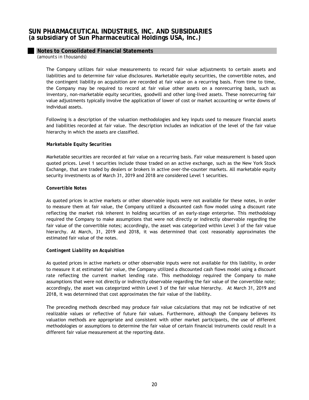### **Notes to Consolidated Financial Statements**

*(amounts in thousands)*

The Company utilizes fair value measurements to record fair value adjustments to certain assets and liabilities and to determine fair value disclosures. Marketable equity securities, the convertible notes, and the contingent liability on acquisition are recorded at fair value on a recurring basis. From time to time, the Company may be required to record at fair value other assets on a nonrecurring basis, such as inventory, non-marketable equity securities, goodwill and other long-lived assets. These nonrecurring fair value adjustments typically involve the application of lower of cost or market accounting or write downs of individual assets.

Following is a description of the valuation methodologies and key inputs used to measure financial assets and liabilities recorded at fair value. The description includes an indication of the level of the fair value hierarchy in which the assets are classified.

### *Marketable Equity Securities*

Marketable securities are recorded at fair value on a recurring basis. Fair value measurement is based upon quoted prices. Level 1 securities include those traded on an active exchange, such as the New York Stock Exchange, that are traded by dealers or brokers in active over-the-counter markets. All marketable equity security investments as of March 31, 2019 and 2018 are considered Level 1 securities.

#### *Convertible Notes*

As quoted prices in active markets or other observable inputs were not available for these notes, in order to measure them at fair value, the Company utilized a discounted cash flow model using a discount rate reflecting the market risk inherent in holding securities of an early-stage enterprise. This methodology required the Company to make assumptions that were not directly or indirectly observable regarding the fair value of the convertible notes; accordingly, the asset was categorized within Level 3 of the fair value hierarchy. At March, 31, 2019 and 2018, it was determined that cost reasonably approximates the estimated fair value of the notes.

### *Contingent Liability on Acquisition*

As quoted prices in active markets or other observable inputs were not available for this liability, in order to measure it at estimated fair value, the Company utilized a discounted cash flows model using a discount rate reflecting the current market lending rate. This methodology required the Company to make assumptions that were not directly or indirectly observable regarding the fair value of the convertible note; accordingly, the asset was categorized within Level 3 of the fair value hierarchy. At March 31, 2019 and 2018, it was determined that cost approximates the fair value of the liability.

The preceding methods described may produce fair value calculations that may not be indicative of net realizable values or reflective of future fair values. Furthermore, although the Company believes its valuation methods are appropriate and consistent with other market participants, the use of different methodologies or assumptions to determine the fair value of certain financial instruments could result in a different fair value measurement at the reporting date.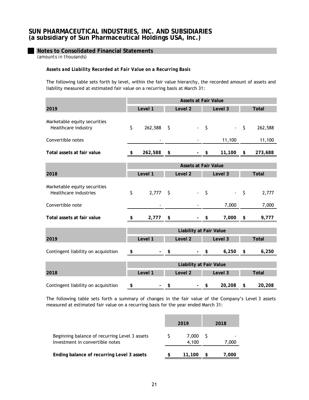### **Notes to Consolidated Financial Statements**

*(amounts in thousands)*

### *Assets and Liability Recorded at Fair Value on a Recurring Basis*

The following table sets forth by level, within the fair value hierarchy, the recorded amount of assets and liability measured at estimated fair value on a recurring basis at March 31:

|                                                       | <b>Assets at Fair Value</b>    |         |    |                                |    |                    |         |              |
|-------------------------------------------------------|--------------------------------|---------|----|--------------------------------|----|--------------------|---------|--------------|
| 2019                                                  |                                | Level 1 |    | Level 2                        |    | Level 3            |         | <b>Total</b> |
| Marketable equity securities<br>Healthcare industry   | \$                             | 262,588 | \$ |                                | \$ |                    | $\zeta$ | 262,588      |
| Convertible notes                                     |                                |         |    |                                |    | 11,100             |         | 11,100       |
| Total assets at fair value                            | \$                             | 262,588 | \$ |                                | \$ | 11,100             | \$      | 273,688      |
|                                                       | <b>Assets at Fair Value</b>    |         |    |                                |    |                    |         |              |
|                                                       |                                |         |    |                                |    |                    |         |              |
| 2018                                                  |                                | Level 1 |    | Level <sub>2</sub>             |    | Level 3            |         | <b>Total</b> |
| Marketable equity securities<br>Healthcare industries | \$                             | 2,777   | \$ |                                | \$ |                    | $\zeta$ | 2,777        |
| Convertible note                                      |                                |         |    |                                |    | 7,000              |         | 7,000        |
| Total assets at fair value                            | S                              | 2,777   | \$ |                                | \$ | 7,000              | \$      | 9,777        |
|                                                       |                                |         |    | <b>Liability at Fair Value</b> |    |                    |         |              |
| 2019                                                  |                                | Level 1 |    | Level <sub>2</sub>             |    | Level 3            |         | <b>Total</b> |
| Contingent liability on acquisition                   | \$                             |         | \$ |                                | \$ | 6,250              | \$      | 6,250        |
|                                                       | <b>Liability at Fair Value</b> |         |    |                                |    |                    |         |              |
| 2018                                                  |                                | Level 1 |    | Level <sub>2</sub>             |    | Level <sub>3</sub> |         | Total        |
| Contingent liability on acquisition                   | \$                             |         | \$ |                                | \$ | 20,208             | \$      | 20,208       |

The following table sets forth a summary of changes in the fair value of the Company's Level 3 assets measured at estimated fair value on a recurring basis for the year ended March 31:

|                                                                                  |   | 2019           | 2018                              |
|----------------------------------------------------------------------------------|---|----------------|-----------------------------------|
| Beginning balance of recurring Level 3 assets<br>Investment in convertible notes |   | 7.000<br>4.100 | $\overline{\phantom{0}}$<br>7,000 |
| Ending balance of recurring Level 3 assets                                       | S | 11,100         | 7.000                             |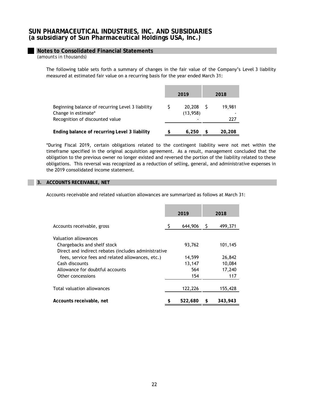### **Notes to Consolidated Financial Statements**

*(amounts in thousands)*

The following table sets forth a summary of changes in the fair value of the Company's Level 3 liability measured at estimated fair value on a recurring basis for the year ended March 31:

|                                                                                                            | 2019               |   | 2018          |
|------------------------------------------------------------------------------------------------------------|--------------------|---|---------------|
| Beginning balance of recurring Level 3 liability<br>Change in estimate*<br>Recognition of discounted value | 20,208<br>(13,958) |   | 19,981<br>227 |
| Ending balance of recurring Level 3 liability                                                              | 6,250              | S | 20,208        |

\*During Fiscal 2019, certain obligations related to the contingent liability were not met within the timeframe specified in the original acquisition agreement. As a result, management concluded that the obligation to the previous owner no longer existed and reversed the portion of the liability related to these obligations. This reversal was recognized as a reduction of selling, general, and administrative expenses in the 2019 consolidated income statement.

#### **3. ACCOUNTS RECEIVABLE, NET**

Accounts receivable and related valuation allowances are summarized as follows at March 31:

|                                                                                                          |   | 2019    | 2018 |         |  |
|----------------------------------------------------------------------------------------------------------|---|---------|------|---------|--|
| Accounts receivable, gross                                                                               | S | 644,906 | S    | 499,371 |  |
| Valuation allowances                                                                                     |   |         |      |         |  |
| Chargebacks and shelf stock                                                                              |   | 93,762  |      | 101,145 |  |
| Direct and indirect rebates (includes administrative<br>fees, service fees and related allowances, etc.) |   | 14,599  |      | 26,842  |  |
| Cash discounts                                                                                           |   | 13,147  |      | 10,084  |  |
| Allowance for doubtful accounts                                                                          |   | 564     |      | 17,240  |  |
| Other concessions                                                                                        |   | 154     |      | 117     |  |
| Total valuation allowances                                                                               |   | 122,226 |      | 155,428 |  |
| Accounts receivable, net                                                                                 |   | 522,680 | \$   | 343,943 |  |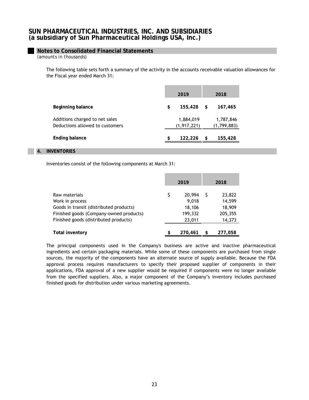### **Notes to Consolidated Financial Statements**

*(amounts in thousands)*

The following table sets forth a summary of the activity in the accounts receivable valuation allowances for the Fiscal year ended March 31:

|                                                                   | 2019                       |    | 2018                     |
|-------------------------------------------------------------------|----------------------------|----|--------------------------|
| Beginning balance                                                 | \$<br>155,428              | \$ | 167,465                  |
| Additions charged to net sales<br>Deductions allowed to customers | 1,884,019<br>(1, 917, 221) |    | 1,787,846<br>(1,799,883) |
| <b>Ending balance</b>                                             | \$<br>122,226              | S  | 155,428                  |

### **4. INVENTORIES**

Inventories consist of the following components at March 31:

|                                         |    | 2019    | 2018    |
|-----------------------------------------|----|---------|---------|
| Raw materials                           | S  | 20,994  | 23,822  |
| Work in process                         |    | 9.018   | 14,599  |
| Goods in transit (distributed products) |    | 18,106  | 18,909  |
| Finished goods (Company-owned products) |    | 199,332 | 205,355 |
| Finished goods (distributed products)   |    | 23,011  | 14,373  |
| Total inventory                         | \$ | 270,461 | 277,058 |

The principal components used in the Company's business are active and inactive pharmaceutical ingredients and certain packaging materials. While some of these components are purchased from single sources, the majority of the components have an alternate source of supply available. Because the FDA approval process requires manufacturers to specify their proposed supplier of components in their applications, FDA approval of a new supplier would be required if components were no longer available from the specified suppliers. Also, a major component of the Company's inventory includes purchased finished goods for distribution under various marketing agreements.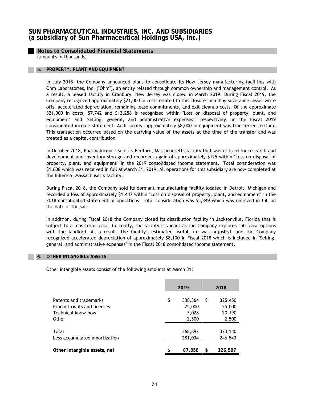### **Notes to Consolidated Financial Statements**

*(amounts in thousands)*

### **5. PROPERTY, PLANT AND EQUIPMENT**

In July 2018, the Company announced plans to consolidate its New Jersey manufacturing facilities with Ohm Laboratories, Inc. ("Ohm"), an entity related through common ownership and management control. As a result, a leased facility in Cranbury, New Jersey was closed in March 2019. During Fiscal 2019, the Company recognized approximately \$21,000 in costs related to this closure including severance, asset writeoffs, accelerated depreciation, remaining lease commitments, and exit cleanup costs. Of the approximate \$21,000 in costs, \$7,742 and \$13,258 is recognized within "Loss on disposal of property, plant, and equipment" and "Selling, general, and administrative expenses," respectively, in the Fiscal 2019 consolidated income statement. Additionally, approximately \$8,000 in equipment was transferred to Ohm. This transaction occurred based on the carrying value of the assets at the time of the transfer and was treated as a capital contribution.

In October 2018, Pharmalucence sold its Bedford, Massachusetts facility that was utilized for research and development and inventory storage and recorded a gain of approximately \$125 within "Loss on disposal of property, plant, and equipment" in the 2019 consolidated income statement. Total consideration was \$1,608 which was received in full at March 31, 2019. All operations for this subsidiary are now completed at the Billerica, Massachusetts facility.

During Fiscal 2018, the Company sold its dormant manufacturing facility located in Detroit, Michigan and recorded a loss of approximately \$1,447 within "Loss on disposal of property, plant, and equipment" in the 2018 consolidated statement of operations. Total consideration was \$5,349 which was received in full on the date of the sale.

In addition, during Fiscal 2018 the Company closed its distribution facility in Jacksonville, Florida that is subject to a long-term lease. Currently, the facility is vacant as the Company explores sub-lease options with the landlord. As a result, the facility's estimated useful life was adjusted, and the Company recognized accelerated depreciation of approximately \$8,100 in Fiscal 2018 which is included in "Selling, general, and administrative expenses" in the Fiscal 2018 consolidated income statement.

### **6. OTHER INTANGIBLE ASSETS**

Other intangible assets consist of the following amounts at March 31:

|                                                                                      | 2019 |                                     | 2018 |                                      |
|--------------------------------------------------------------------------------------|------|-------------------------------------|------|--------------------------------------|
| Patents and trademarks<br>Product rights and licenses<br>Technical know-how<br>Other | \$   | 338,364<br>25,000<br>3,028<br>2,500 | S    | 325,450<br>25,000<br>20,190<br>2,500 |
| Total<br>Less accumulated amortization                                               |      | 368,892<br>281,034                  |      | 373,140<br>246,543                   |
| Other intangible assets, net                                                         | \$   | 87,858                              | \$   | 126,597                              |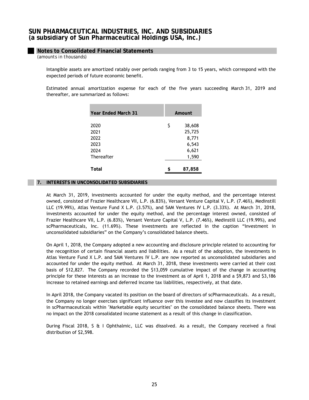### **Notes to Consolidated Financial Statements**

*(amounts in thousands)*

Intangible assets are amortized ratably over periods ranging from 3 to 15 years, which correspond with the expected periods of future economic benefit.

Estimated annual amortization expense for each of the five years succeeding March 31, 2019 and thereafter, are summarized as follows:

| <b>Year Fnded March 31</b> |   | Amount |
|----------------------------|---|--------|
|                            |   |        |
| 2020                       | S | 38,608 |
| 2021                       |   | 25,725 |
| 2022                       |   | 8,771  |
| 2023                       |   | 6,543  |
| 2024                       |   | 6,621  |
| Thereafter                 |   | 1,590  |
|                            |   |        |
| Total                      |   | 87,858 |
|                            |   |        |

#### **7. INTERESTS IN UNCONSOLIDATED SUBSIDIARIES**

At March 31, 2019, investments accounted for under the equity method, and the percentage interest owned, consisted of Frazier Healthcare VII, L.P. (6.83%), Versant Venture Capital V, L.P. (7.46%), Medinstill LLC (19.99%), Atlas Venture Fund X L.P. (3.57%), and 5AM Ventures IV L.P. (3.33%). At March 31, 2018, investments accounted for under the equity method, and the percentage interest owned, consisted of Frazier Healthcare VII, L.P. (6.83%), Versant Venture Capital V, L.P. (7.46%), Medinstill LLC (19.99%), and scPharmaceuticals, Inc. (11.69%). These investments are reflected in the caption "Investment in unconsolidated subsidiaries" on the Company's consolidated balance sheets.

On April 1, 2018, the Company adopted a new accounting and disclosure principle related to accounting for the recognition of certain financial assets and liabilities. As a result of the adoption, the investments in Atlas Venture Fund X L.P. and 5AM Ventures IV L.P. are now reported as unconsolidated subsidiaries and accounted for under the equity method. At March 31, 2018, these investments were carried at their cost basis of \$12,827. The Company recorded the \$13,059 cumulative impact of the change in accounting principle for these interests as an increase to the investment as of April 1, 2018 and a \$9,873 and \$3,186 increase to retained earnings and deferred income tax liabilities, respectively, at that date.

In April 2018, the Company vacated its position on the board of directors of scPharmaceuticals. As a result, the Company no longer exercises significant influence over this investee and now classifies its investment in scPharmaceuticals within "Marketable equity securities" on the consolidated balance sheets. There was no impact on the 2018 consolidated income statement as a result of this change in classification.

During Fiscal 2018, S & I Ophthalmic, LLC was dissolved. As a result, the Company received a final distribution of \$2,598.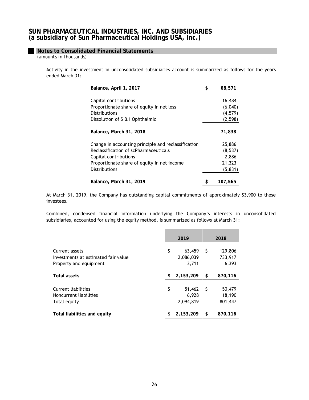### **Notes to Consolidated Financial Statements**

*(amounts in thousands)*

Activity in the investment in unconsolidated subsidiaries account is summarized as follows for the years ended March 31:

| Balance, April 1, 2017                              | \$<br>68,571  |
|-----------------------------------------------------|---------------|
| Capital contributions                               | 16,484        |
| Proportionate share of equity in net loss           | (6,040)       |
| <b>Distributions</b>                                | (4,579)       |
| Dissolution of $S \& I$ Ophthalmic                  | (2, 598)      |
| Balance, March 31, 2018                             | 71,838        |
| Change in accounting principle and reclassification | 25,886        |
| Reclassification of scPharmaceuticals               | (8, 537)      |
| Capital contributions                               | 2,886         |
| Proportionate share of equity in net income         | 21,323        |
| <b>Distributions</b>                                | (5, 831)      |
| Balance, March 31, 2019                             | \$<br>107,565 |

At March 31, 2019, the Company has outstanding capital commitments of approximately \$3,900 to these investees.

Combined, condensed financial information underlying the Company's interests in unconsolidated subsidiaries, accounted for using the equity method, is summarized as follows at March 31:

×.

a a

÷

|                                                                                 | 2019 |                              | 2018 |                             |
|---------------------------------------------------------------------------------|------|------------------------------|------|-----------------------------|
| Current assets<br>Investments at estimated fair value<br>Property and equipment | \$   | 63,459<br>2,086,039<br>3,711 | S    | 129,806<br>733,917<br>6,393 |
| <b>Total assets</b>                                                             | S    | 2,153,209                    | \$   | 870,116                     |
| Current liabilities<br>Noncurrent liabilities<br>Total equity                   | \$   | 51,462<br>6,928<br>2.094.819 | - S  | 50,479<br>18,190<br>801,447 |
| Total liabilities and equity                                                    | \$   | 2,153,209                    | \$   | 870,116                     |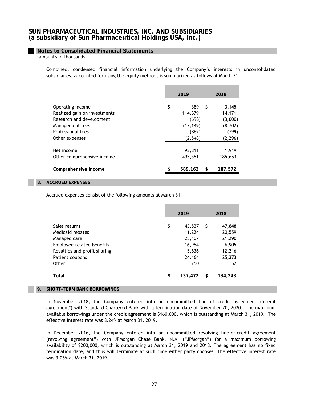### **Notes to Consolidated Financial Statements**

*(amounts in thousands)*

Combined, condensed financial information underlying the Company's interests in unconsolidated subsidiaries, accounted for using the equity method, is summarized as follows at March 31:

|                                                                                                                                        |    | 2019                                                      |      | 2018                                                       |  |
|----------------------------------------------------------------------------------------------------------------------------------------|----|-----------------------------------------------------------|------|------------------------------------------------------------|--|
| Operating income<br>Realized gain on investments<br>Research and development<br>Management fees<br>Professional fees<br>Other expenses | Ş  | 389<br>114,679<br>(698)<br>(17, 149)<br>(862)<br>(2, 548) | -S   | 3,145<br>14,171<br>(3,600)<br>(8,702)<br>(799)<br>(2, 296) |  |
| Net income<br>Other comprehensive income<br>Comprehensive income                                                                       | \$ | 93,811<br>495,351<br>589,162                              | - \$ | 1,919<br>185,653<br>187,572                                |  |

#### **8. ACCRUED EXPENSES**

Accrued expenses consist of the following amounts at March 31:

|                                                                           | 2019 |                            | 2018       |                           |
|---------------------------------------------------------------------------|------|----------------------------|------------|---------------------------|
| Sales returns<br>Medicaid rebates                                         | \$   | 43,537<br>11,224           | -S         | 47,848<br>20,559          |
| Managed care<br>Employee-related benefits<br>Royalties and profit sharing |      | 25,407<br>16,954<br>15,636 |            | 21,290<br>6,905<br>12,216 |
| Patient coupons<br>Other                                                  |      | 24,464<br>250              |            | 25,373<br>52              |
| Total                                                                     | \$   | 137,472                    | $\sqrt{5}$ | 134,243                   |

#### **9. SHORT-TERM BANK BORROWINGS**

In November 2018, the Company entered into an uncommitted line of credit agreement ("credit agreement") with Standard Chartered Bank with a termination date of November 20, 2020. The maximum available borrowings under the credit agreement is \$160,000, which is outstanding at March 31, 2019. The effective interest rate was 3.24% at March 31, 2019.

In December 2016, the Company entered into an uncommitted revolving line-of-credit agreement (revolving agreement") with JPMorgan Chase Bank, N.A. ("JPMorgan") for a maximum borrowing availability of \$200,000, which is outstanding at March 31, 2019 and 2018. The agreement has no fixed termination date, and thus will terminate at such time either party chooses. The effective interest rate was 3.05% at March 31, 2019.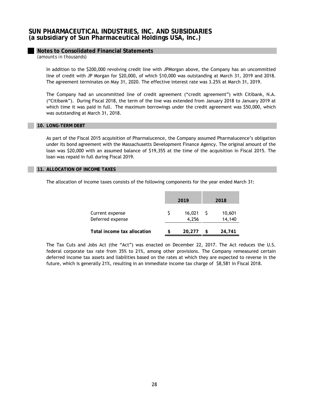### **Notes to Consolidated Financial Statements**

*(amounts in thousands)*

In addition to the \$200,000 revolving credit line with JPMorgan above, the Company has an uncommitted line of credit with JP Morgan for \$20,000, of which \$10,000 was outstanding at March 31, 2019 and 2018. The agreement terminates on May 31, 2020. The effective interest rate was 3.25% at March 31, 2019.

The Company had an uncommitted line of credit agreement ("credit agreement") with Citibank, N.A. ("Citibank"). During Fiscal 2018, the term of the line was extended from January 2018 to January 2019 at which time it was paid in full. The maximum borrowings under the credit agreement was \$50,000, which was outstanding at March 31, 2018.

#### **10. LONG-TERM DEBT**

As part of the Fiscal 2015 acquisition of Pharmalucence, the Company assumed Pharmalucence's obligation under its bond agreement with the Massachusetts Development Finance Agency. The original amount of the loan was \$20,000 with an assumed balance of \$19,355 at the time of the acquisition in Fiscal 2015. The loan was repaid in full during Fiscal 2019.

#### **11. ALLOCATION OF INCOME TAXES**

The allocation of income taxes consists of the following components for the year ended March 31:

|                                     |   | 2019            | 2018 |                  |  |
|-------------------------------------|---|-----------------|------|------------------|--|
| Current expense<br>Deferred expense |   | 16,021<br>4,256 |      | 10,601<br>14,140 |  |
| Total income tax allocation         | S | 20,277          |      | 24,741           |  |

The Tax Cuts and Jobs Act (the "Act") was enacted on December 22, 2017. The Act reduces the U.S. federal corporate tax rate from 35% to 21%, among other provisions. The Company remeasured certain deferred income tax assets and liabilities based on the rates at which they are expected to reverse in the future, which is generally 21%, resulting in an immediate income tax charge of \$8,581 in Fiscal 2018.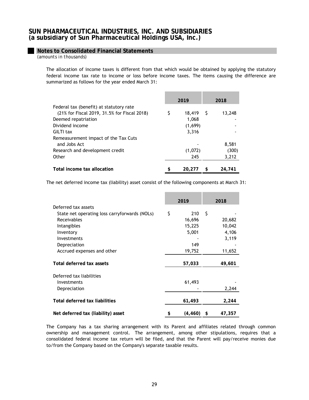### **Notes to Consolidated Financial Statements**

*(amounts in thousands)*

The allocation of income taxes is different from that which would be obtained by applying the statutory federal income tax rate to income or loss before income taxes. The items causing the difference are summarized as follows for the year ended March 31:

|                                              | 2019 |         | 2018 |        |
|----------------------------------------------|------|---------|------|--------|
| Federal tax (benefit) at statutory rate      |      |         |      |        |
| (21% for Fiscal 2019, 31.5% for Fiscal 2018) |      | 18,419  | - S  | 13,248 |
| Deemed repatriation                          |      | 1,068   |      |        |
| Dividend income                              |      | (1,699) |      |        |
| GILTI tax                                    |      | 3,316   |      |        |
| Remeasurement impact of the Tax Cuts         |      |         |      |        |
| and Jobs Act                                 |      |         |      | 8,581  |
| Research and development credit              |      | (1,072) |      | (300)  |
| Other                                        |      | 245     |      | 3,212  |
|                                              |      |         |      |        |
| Total income tax allocation                  |      | 20,277  | S    | 24,741 |

The net deferred income tax (liability) asset consist of the following components at March 31:

|                                               | 2019           |    | 2018   |
|-----------------------------------------------|----------------|----|--------|
| Deferred tax assets                           |                |    |        |
| State net operating loss carryforwards (NOLs) | \$<br>210      | Ŝ  |        |
| <b>Receivables</b>                            | 16,696         |    | 20,682 |
| Intangibles                                   | 15,225         |    | 10,042 |
| Inventory                                     | 5,001          |    | 4,106  |
| <b>Investments</b>                            |                |    | 3,119  |
| Depreciation                                  | 149            |    |        |
| Accrued expenses and other                    | 19,752         |    | 11,652 |
|                                               |                |    |        |
| Total deferred tax assets                     | 57,033         |    | 49,601 |
|                                               |                |    |        |
| Deferred tax liabilities                      |                |    |        |
| <b>Investments</b>                            | 61,493         |    |        |
| Depreciation                                  |                |    | 2,244  |
|                                               |                |    |        |
| Total deferred tax liabilities                | 61,493         |    | 2,244  |
|                                               |                |    |        |
| Net deferred tax (liability) asset            | \$<br>(4, 460) | \$ | 47,357 |

The Company has a tax sharing arrangement with its Parent and affiliates related through common ownership and management control. The arrangement, among other stipulations, requires that a consolidated federal income tax return will be filed, and that the Parent will pay/receive monies due to/from the Company based on the Company's separate taxable results.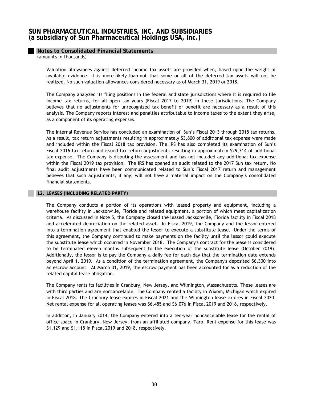### **Notes to Consolidated Financial Statements**

*(amounts in thousands)*

Valuation allowances against deferred income tax assets are provided when, based upon the weight of available evidence, it is more-likely-than-not that some or all of the deferred tax assets will not be realized. No such valuation allowances considered necessary as of March 31, 2019 or 2018.

The Company analyzed its filing positions in the federal and state jurisdictions where it is required to file income tax returns, for all open tax years (Fiscal 2017 to 2019) in these jurisdictions. The Company believes that no adjustments for unrecognized tax benefit or benefit are necessary as a result of this analysis. The Company reports interest and penalties attributable to income taxes to the extent they arise, as a component of its operating expenses.

The Internal Revenue Service has concluded an examination of Sun's Fiscal 2013 through 2015 tax returns. As a result, tax return adjustments resulting in approximately \$3,800 of additional tax expense were made and included within the Fiscal 2018 tax provision. The IRS has also completed its examination of Sun's Fiscal 2016 tax return and issued tax return adjustments resulting in approximately \$29,314 of additional tax expense. The Company is disputing the assessment and has not included any additional tax expense within the Fiscal 2019 tax provision. The IRS has opened an audit related to the 2017 Sun tax return. No final audit adjustments have been communicated related to Sun's Fiscal 2017 return and management believes that such adjustments, if any, will not have a material impact on the Company's consolidated financial statements.

### **12. LEASES (INCLUDING RELATED PARTY)**

The Company conducts a portion of its operations with leased property and equipment, including a warehouse facility in Jacksonville, Florida and related equipment, a portion of which meet capitalization criteria. As discussed in Note 5, the Company closed the leased Jacksonville, Florida facility in Fiscal 2018 and accelerated depreciation on the related asset. In Fiscal 2019, the Company and the lessor entered into a termination agreement that enabled the lessor to execute a substitute lease. Under the terms of this agreement, the Company continued to make payments on the facility until the lessor could execute the substitute lease which occurred in November 2018. The Company's contract for the lease is considered to be terminated eleven months subsequent to the execution of the substitute lease (October 2019). Additionally, the lessor is to pay the Company a daily fee for each day that the termination date extends beyond April 1, 2019. As a condition of the termination agreement, the Company's deposited \$6,300 into an escrow account. At March 31, 2019, the escrow payment has been accounted for as a reduction of the related capital lease obligation.

The Company rents its facilities in Cranbury, New Jersey, and Wilmington, Massachusetts. These leases are with third parties and are noncancelable. The Company rented a facility in Wixom, Michigan which expired in Fiscal 2018. The Cranbury lease expires in Fiscal 2021 and the Wilmington lease expires in Fiscal 2020. Net rental expense for all operating leases was \$6,485 and \$6,076 in Fiscal 2019 and 2018, respectively.

In addition, in January 2014, the Company entered into a ten-year noncancelable lease for the rental of office space in Cranbury, New Jersey, from an affiliated company, Taro. Rent expense for this lease was \$1,129 and \$1,115 in Fiscal 2019 and 2018, respectively.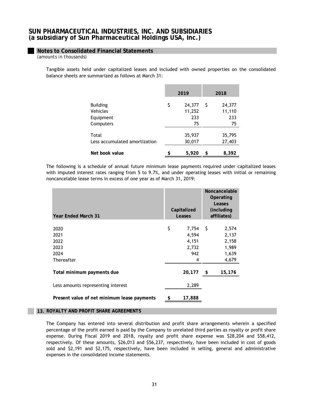### **Notes to Consolidated Financial Statements**

*(amounts in thousands)*

Tangible assets held under capitalized leases and included with owned properties on the consolidated balance sheets are summarized as follows at March 31:

|                                                       | 2019                                | 2018 |                               |  |
|-------------------------------------------------------|-------------------------------------|------|-------------------------------|--|
| <b>Building</b><br>Vehicles<br>Equipment<br>Computers | \$<br>24,377<br>11,252<br>233<br>75 | S    | 24,377<br>11,110<br>233<br>75 |  |
| Total<br>Less accumulated amortization                | 35,937<br>30,017                    |      | 35,795<br>27,403              |  |
| Net book value                                        | \$<br>5,920                         | \$   | 8,392                         |  |

The following is a schedule of annual future minimum lease payments required under capitalized leases with imputed interest rates ranging from 5 to 9.7%, and under operating leases with initial or remaining noncancelable lease terms in excess of one year as of March 31, 2019:

| <b>Year Ended March 31</b>                                | Capitalized<br>Leases                                   | Noncancelable<br>Operating<br>Leases<br>(including)<br>affiliates) |
|-----------------------------------------------------------|---------------------------------------------------------|--------------------------------------------------------------------|
| 2020<br>2021<br>2022<br>2023<br>2024<br><b>Thereafter</b> | \$<br>$7,754$ \$<br>4,594<br>4,151<br>2,732<br>942<br>4 | 2,574<br>2,137<br>2,158<br>1,989<br>1,639<br>4,679                 |
| Total minimum payments due                                | 20,177                                                  | 15,176<br>\$                                                       |
| Less amounts representing interest                        | 2,289                                                   |                                                                    |
| Present value of net minimum lease payments               | 17,888                                                  |                                                                    |

### **13. ROYALTY AND PROFIT SHARE AGREEMENTS**

The Company has entered into several distribution and profit share arrangements wherein a specified percentage of the profit earned is paid by the Company to unrelated third parties as royalty or profit share expense. During Fiscal 2019 and 2018, royalty and profit share expense was \$28,204 and \$58,412, respectively. Of these amounts, \$26,013 and \$56,237, respectively, have been included in cost of goods sold and \$2,191 and \$2,175, respectively, have been included in selling, general and administrative expenses in the consolidated income statements.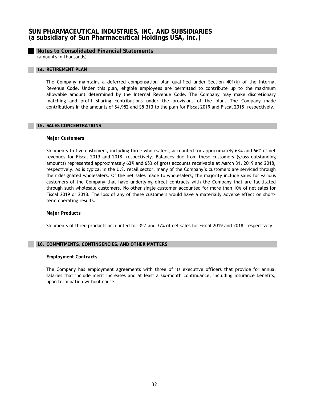### **Notes to Consolidated Financial Statements**

*(amounts in thousands)*

#### **14. RETIREMENT PLAN**

The Company maintains a deferred compensation plan qualified under Section 401(k) of the Internal Revenue Code. Under this plan, eligible employees are permitted to contribute up to the maximum allowable amount determined by the Internal Revenue Code. The Company may make discretionary matching and profit sharing contributions under the provisions of the plan. The Company made contributions in the amounts of \$4,952 and \$5,313 to the plan for Fiscal 2019 and Fiscal 2018, respectively.

#### **15. SALES CONCENTRATIONS**

#### *Major Customers*

Shipments to five customers, including three wholesalers, accounted for approximately 63% and 66% of net revenues for Fiscal 2019 and 2018, respectively. Balances due from these customers (gross outstanding amounts) represented approximately 63% and 65% of gross accounts receivable at March 31, 2019 and 2018, respectively. As is typical in the U.S. retail sector, many of the Company's customers are serviced through their designated wholesalers. Of the net sales made to wholesalers, the majority include sales for various customers of the Company that have underlying direct contracts with the Company that are facilitated through such wholesale customers. No other single customer accounted for more than 10% of net sales for Fiscal 2019 or 2018. The loss of any of these customers would have a materially adverse effect on shortterm operating results.

### *Major Products*

Shipments of three products accounted for 35% and 37% of net sales for Fiscal 2019 and 2018, respectively.

### **16. COMMITMENTS, CONTINGENCIES, AND OTHER MATTERS**

#### *Employment Contracts*

The Company has employment agreements with three of its executive officers that provide for annual salaries that include merit increases and at least a six-month continuance, including insurance benefits, upon termination without cause.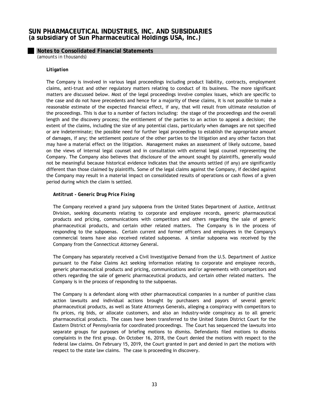### **Notes to Consolidated Financial Statements**

*(amounts in thousands)*

#### *Litigation*

The Company is involved in various legal proceedings including product liability, contracts, employment claims, anti-trust and other regulatory matters relating to conduct of its business. The more significant matters are discussed below. Most of the legal proceedings involve complex issues, which are specific to the case and do not have precedents and hence for a majority of these claims, it is not possible to make a reasonable estimate of the expected financial effect, if any, that will result from ultimate resolution of the proceedings. This is due to a number of factors including: the stage of the proceedings and the overall length and the discovery process; the entitlement of the parties to an action to appeal a decision; the extent of the claims, including the size of any potential class, particularly when damages are not specified or are indeterminate; the possible need for further legal proceedings to establish the appropriate amount of damages, if any; the settlement posture of the other parties to the litigation and any other factors that may have a material effect on the litigation. Management makes an assessment of likely outcome, based on the views of internal legal counsel and in consultation with external legal counsel representing the Company. The Company also believes that disclosure of the amount sought by plaintiffs, generally would not be meaningful because historical evidence indicates that the amounts settled (if any) are significantly different than those claimed by plaintiffs. Some of the legal claims against the Company, if decided against the Company may result in a material impact on consolidated results of operations or cash flows of a given period during which the claim is settled.

#### *Antitrust - Generic Drug Price Fixing*

The Company received a grand jury subpoena from the United States Department of Justice, Antitrust Division, seeking documents relating to corporate and employee records, generic pharmaceutical products and pricing, communications with competitors and others regarding the sale of generic pharmaceutical products, and certain other related matters. The Company is in the process of responding to the subpoenas. Certain current and former officers and employees in the Company's commercial teams have also received related subpoenas. A similar subpoena was received by the Company from the Connecticut Attorney General.

The Company has separately received a Civil Investigative Demand from the U.S. Department of Justice pursuant to the False Claims Act seeking information relating to corporate and employee records, generic pharmaceutical products and pricing, communications and/or agreements with competitors and others regarding the sale of generic pharmaceutical products, and certain other related matters. The Company is in the process of responding to the subpoenas.

The Company is a defendant along with other pharmaceutical companies in a number of punitive class action lawsuits and individual actions brought by purchasers and payors of several generic pharmaceutical products, as well as State Attorneys Generals, alleging a conspiracy with competitors to fix prices, rig bids, or allocate customers, and also an industry-wide conspiracy as to all generic pharmaceutical products. The cases have been transferred to the United States District Court for the Eastern District of Pennsylvania for coordinated proceedings. The Court has sequenced the lawsuits into separate groups for purposes of briefing motions to dismiss. Defendants filed motions to dismiss complaints in the first group. On October 16, 2018, the Court denied the motions with respect to the federal law claims. On February 15, 2019, the Court granted in part and denied in part the motions with respect to the state law claims. The case is proceeding in discovery.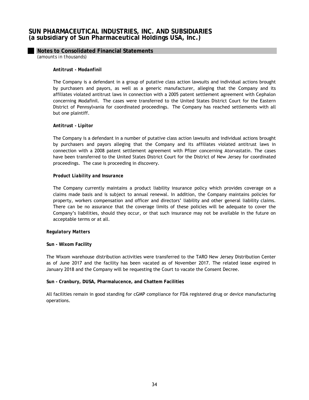### **Notes to Consolidated Financial Statements**

*(amounts in thousands)*

### *Antitrust - Modanfinil*

The Company is a defendant in a group of putative class action lawsuits and individual actions brought by purchasers and payors, as well as a generic manufacturer, alleging that the Company and its affiliates violated antitrust laws in connection with a 2005 patent settlement agreement with Cephalon concerning Modafinil. The cases were transferred to the United States District Court for the Eastern District of Pennsylvania for coordinated proceedings. The Company has reached settlements with all but one plaintiff.

#### *Antitrust - Lipitor*

The Company is a defendant in a number of putative class action lawsuits and individual actions brought by purchasers and payors alleging that the Company and its affiliates violated antitrust laws in connection with a 2008 patent settlement agreement with Pfizer concerning Atorvastatin. The cases have been transferred to the United States District Court for the District of New Jersey for coordinated proceedings. The case is proceeding in discovery.

#### *Product Liability and Insurance*

The Company currently maintains a product liability insurance policy which provides coverage on a claims made basis and is subject to annual renewal. In addition, the Company maintains policies for property, workers compensation and officer and directors' liability and other general liability claims. There can be no assurance that the coverage limits of these policies will be adequate to cover the Company's liabilities, should they occur, or that such insurance may not be available in the future on acceptable terms or at all.

### *Regulatory Matters*

### **Sun - Wixom Facility**

The Wixom warehouse distribution activities were transferred to the TARO New Jersey Distribution Center as of June 2017 and the facility has been vacated as of November 2017. The related lease expired in January 2018 and the Company will be requesting the Court to vacate the Consent Decree.

### **Sun - Cranbury, DUSA, Pharmalucence, and Chattem Facilities**

All facilities remain in good standing for cGMP compliance for FDA registered drug or device manufacturing operations.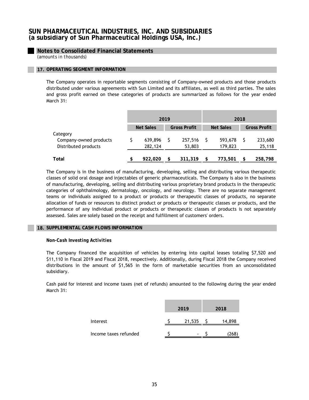### **Notes to Consolidated Financial Statements**

*(amounts in thousands)*

### **17. OPERATING SEGMENT INFORMATION**

The Company operates in reportable segments consisting of Company-owned products and those products distributed under various agreements with Sun Limited and its affiliates, as well as third parties. The sales and gross profit earned on these categories of products are summarized as follows for the year ended March 31:

|                        |                  | 2019 |                     |                  | 2018 |                     |
|------------------------|------------------|------|---------------------|------------------|------|---------------------|
|                        | <b>Net Sales</b> |      | <b>Gross Profit</b> | <b>Net Sales</b> |      | <b>Gross Profit</b> |
| Category               |                  |      |                     |                  |      |                     |
| Company-owned products | 639,896          |      | 257,516             | 593,678          |      | 233,680             |
| Distributed products   | 282,124          |      | 53,803              | 179,823          |      | 25,118              |
| Total                  | \$<br>922,020    |      | 311,319             | 773,501          | \$   | 258,798             |

The Company is in the business of manufacturing, developing, selling and distributing various therapeutic classes of solid oral dosage and injectables of generic pharmaceuticals. The Company is also in the business of manufacturing, developing, selling and distributing various proprietary brand products in the therapeutic categories of ophthalmology, dermatology, oncology, and neurology. There are no separate management teams or individuals assigned to a product or products or therapeutic classes of products, no separate allocation of funds or resources to distinct product or products or therapeutic classes or products, and the performance of any individual product or products or therapeutic classes of products is not separately assessed. Sales are solely based on the receipt and fulfillment of customers' orders.

#### **18. SUPPLEMENTAL CASH FLOWS INFORMATION**

### *Non-Cash Investing Activities*

The Company financed the acquisition of vehicles by entering into capital leases totaling \$7,520 and \$11,110 in Fiscal 2019 and Fiscal 2018, respectively. Additionally, during Fiscal 2018 the Company received distributions in the amount of \$1,565 in the form of marketable securities from an unconsolidated subsidiary.

Cash paid for interest and income taxes (net of refunds) amounted to the following during the year ended March 31:

|                       | 2019   | 2018   |
|-----------------------|--------|--------|
| Interest              | 21,535 | 14,898 |
| Income taxes refunded | -      | (268)  |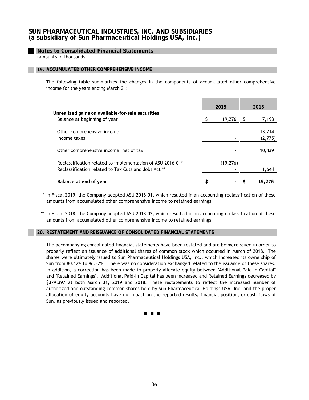### **Notes to Consolidated Financial Statements**

*(amounts in thousands)*

### **19. ACCUMULATED OTHER COMPREHENSIVE INCOME**

The following table summarizes the changes in the components of accumulated other comprehensive income for the years ending March 31:

|                                                                                                                    | 2019      | 2018              |
|--------------------------------------------------------------------------------------------------------------------|-----------|-------------------|
| Unrealized gains on available-for-sale securities<br>Balance at beginning of year                                  | 19,276    | 7,193             |
| Other comprehensive income<br>Income taxes                                                                         |           | 13,214<br>(2,775) |
| Other comprehensive income, net of tax                                                                             |           | 10,439            |
| Reclassification related to implementation of ASU 2016-01*<br>Reclassification related to Tax Cuts and Jobs Act ** | (19, 276) | 1,644             |
| Balance at end of year                                                                                             |           | 19,276            |

- \* In Fiscal 2019, the Company adopted ASU 2016-01, which resulted in an accounting reclassification of these amounts from accumulated other comprehensive income to retained earnings.
- \*\* In Fiscal 2018, the Company adopted ASU 2018-02, which resulted in an accounting reclassification of these amounts from accumulated other comprehensive income to retained earnings.

### **20. RESTATEMENT AND REISSUANCE OF CONSOLIDATED FINANCIAL STATEMENTS**

The accompanying consolidated financial statements have been restated and are being reissued in order to properly reflect an issuance of additional shares of common stock which occurred in March of 2018. The shares were ultimately issued to Sun Pharmaceutical Holdings USA, Inc., which increased its ownership of Sun from 80.12% to 96.32%. There was no consideration exchanged related to the issuance of these shares. In addition, a correction has been made to properly allocate equity between "Additional Paid-In Capital" and "Retained Earnings". Additional Paid-In Capital has been increased and Retained Earnings decreased by \$379,397 at both March 31, 2019 and 2018. These restatements to reflect the increased number of authorized and outstanding common shares held by Sun Pharmaceutical Holdings USA, Inc. and the proper allocation of equity accounts have no impact on the reported results, financial position, or cash flows of Sun, as previously issued and reported.

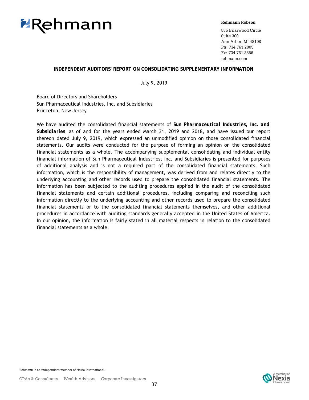

#### **Rehmann Robson**

555 Briarwood Circle Suite 300 Ann Arbor, MI 48108 Ph: 734.761.2005 Fx: 734.761.3856 rehmann.com

### **INDEPENDENT AUDITORS' REPORT ON CONSOLIDATING SUPPLEMENTARY INFORMATION**

July 9, 2019

Board of Directors and Shareholders Sun Pharmaceutical Industries, Inc. and Subsidiaries Princeton, New Jersey

We have audited the consolidated financial statements of *Sun Pharmaceutical Industries, Inc. and Subsidiaries* as of and for the years ended March 31, 2019 and 2018, and have issued our report thereon dated July 9, 2019, which expressed an unmodified opinion on those consolidated financial statements. Our audits were conducted for the purpose of forming an opinion on the consolidated financial statements as a whole. The accompanying supplemental consolidating and individual entity financial information of Sun Pharmaceutical Industries, Inc. and Subsidiaries is presented for purposes of additional analysis and is not a required part of the consolidated financial statements. Such information, which is the responsibility of management, was derived from and relates directly to the underlying accounting and other records used to prepare the consolidated financial statements. The information has been subjected to the auditing procedures applied in the audit of the consolidated financial statements and certain additional procedures, including comparing and reconciling such information directly to the underlying accounting and other records used to prepare the consolidated financial statements or to the consolidated financial statements themselves, and other additional procedures in accordance with auditing standards generally accepted in the United States of America. In our opinion, the information is fairly stated in all material respects in relation to the consolidated financial statements as a whole.

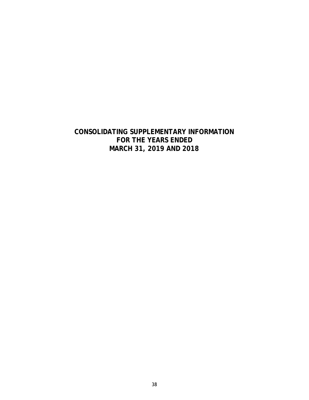### **CONSOLIDATING SUPPLEMENTARY INFORMATION FOR THE YEARS ENDED MARCH 31, 2019 AND 2018**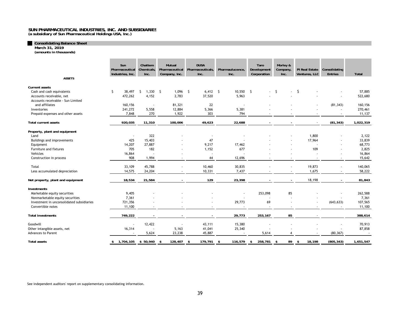**Consolidating Balance Sheet March 31, 2019**

*(amounts in thousands)*

|                                                     | Sun<br>Pharmaceutical<br>Industries, Inc. | Chattem<br>Chemicals,<br>Inc. | Mutual<br>Pharmaceutical<br>Company, Inc. | <b>DUSA</b><br>Pharmaceuticals,<br>Inc. | Pharmaulucence,<br>Inc.  | Taro<br>Development<br>Corporation | Morley &<br>Company,<br>Inc. | PI Real Estate Consolidating<br>Ventures, LLC | <b>Entries</b>           | Total                    |
|-----------------------------------------------------|-------------------------------------------|-------------------------------|-------------------------------------------|-----------------------------------------|--------------------------|------------------------------------|------------------------------|-----------------------------------------------|--------------------------|--------------------------|
| <b>ASSETS</b>                                       |                                           |                               |                                           |                                         |                          |                                    |                              |                                               |                          |                          |
| <b>Current assets</b>                               |                                           |                               |                                           |                                         |                          |                                    |                              |                                               |                          |                          |
| Cash and cash equivalents                           | \$<br>38,497                              | $1,330$ \$<br>S.              | 1,096                                     | $6,412$ \$<br>-\$                       | 10,550                   | -S                                 | $\sim$ 5<br>÷.               | Ŝ                                             |                          | 57,885                   |
| Accounts receivable, net                            | 472,262                                   | 4,152                         | 2,783                                     | 37,520                                  | 5,963                    |                                    |                              |                                               |                          | 522,680                  |
| Accounts receivable - Sun Limited<br>and affiliates | 160,156                                   | $\sim$                        | 81,321                                    | 22                                      | ۰.                       |                                    |                              |                                               | (81, 343)                | 160,156                  |
| Inventories                                         | 241,272                                   | 5,558                         | 12,884                                    | 5,366                                   | 5,381                    |                                    |                              |                                               |                          | 270,461                  |
| Prepaid expenses and other assets                   | 7,848                                     | 270                           | 1,922                                     | 303                                     | 794                      |                                    |                              |                                               |                          | 11,137                   |
|                                                     |                                           |                               |                                           |                                         |                          |                                    |                              |                                               |                          |                          |
| Total current assets                                | 920,035                                   | 11,310                        | 100,006                                   | 49,623                                  | 22,688                   |                                    |                              |                                               | (81, 343)                | 1,022,319                |
| Property, plant and equipment                       |                                           |                               |                                           |                                         |                          |                                    |                              |                                               |                          |                          |
| Land                                                |                                           | 322                           |                                           |                                         |                          |                                    |                              | 1,800                                         |                          | 2,122                    |
| Buildings and improvements                          | 425                                       | 15,403                        |                                           | 47                                      |                          |                                    |                              | 17,964                                        |                          | 33,839                   |
| Equipment                                           | 14,207                                    | 27,887                        |                                           | 9,217                                   | 17,462                   |                                    |                              |                                               |                          | 68,773                   |
| Furniture and fixtures                              | 705                                       | 182                           |                                           | 1,152                                   | 677                      |                                    |                              | 109                                           |                          | 2,825                    |
| Vehicles                                            | 16,864                                    |                               |                                           |                                         |                          |                                    |                              |                                               |                          | 16,864                   |
| Construction in process                             | 908                                       | 1,994                         |                                           | 44                                      | 12,696                   |                                    |                              |                                               |                          | 15,642                   |
| Total                                               | 33,109                                    | 45,788                        |                                           | 10,460                                  | 30,835                   |                                    |                              | 19,873                                        | $\overline{\phantom{a}}$ | 140,065                  |
| Less accumulated depreciation                       | 14,575                                    | 24,204                        |                                           | 10,331                                  | 7,437                    |                                    |                              | 1,675                                         | ٠                        | 58,222                   |
| Net property, plant and equipment                   | 18,534                                    | 21,584                        |                                           | 129                                     | 23,398                   |                                    |                              | 18,198                                        |                          | 81,843                   |
| Investments                                         |                                           |                               |                                           |                                         |                          |                                    |                              |                                               |                          |                          |
| Marketable equity securities                        | 9,405                                     |                               |                                           |                                         |                          | 253,098                            | 85                           |                                               |                          | 262,588                  |
| Nonmarketable equity securities                     | 7,361                                     |                               |                                           |                                         |                          |                                    |                              |                                               |                          | 7,361                    |
| Investment in unconsolidated subsidiaries           | 721,356                                   |                               |                                           |                                         | 29,773                   | 69                                 |                              |                                               | (643, 633)               | 107,565                  |
| Convertible notes                                   | 11,100                                    |                               |                                           |                                         |                          |                                    |                              |                                               |                          | 11,100                   |
| <b>Total investments</b>                            | 749,222                                   |                               |                                           |                                         | 29,773                   | 253,167                            | 85                           |                                               |                          | 388,614                  |
| Goodwill                                            |                                           | 12,422                        |                                           | 43,111                                  | 15,380                   |                                    |                              |                                               |                          | 70,913                   |
| Other intangible assets, net                        | 16,314                                    |                               | 5,163                                     | 41,041                                  | 25,340                   |                                    |                              |                                               |                          | 87,858                   |
| Advances to Parent                                  |                                           | 5,624                         | 23,238                                    | 45,887                                  | $\overline{\phantom{a}}$ | 5,614                              | $\overline{\bf 4}$           |                                               | (80, 367)                | $\overline{\phantom{a}}$ |
| <b>Total assets</b>                                 | 1,704,105<br>\$                           | $$50,940$ \$                  | 128,407 \$                                | 179,791 \$                              | 116,579                  | 258,781 \$<br>\$                   | 89                           | 18,198<br>$^{\circ}$                          | (805, 343)               | 1,651,547                |

See independent auditors' report on supplementary consolidating information.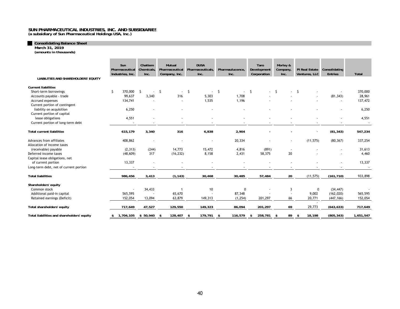### **Consolidating Balance Sheet March 31, 2019**

*(amounts in thousands)*

|                                            | Sun<br>Pharmaceutical<br>Industries, Inc. | Chattem<br>Chemicals.<br>Inc. | <b>Mutual</b><br>Pharmaceutical<br>Company, Inc. | <b>DUSA</b><br>Pharmaceuticals,<br>Inc. | Pharmaulucence.<br>Inc. | Taro<br>Development<br>Corporation | Morley &<br>Company<br>Inc. | PI Real Estate<br>Ventures, LLC | Consolidating<br><b>Entries</b> | <b>Total</b>             |
|--------------------------------------------|-------------------------------------------|-------------------------------|--------------------------------------------------|-----------------------------------------|-------------------------|------------------------------------|-----------------------------|---------------------------------|---------------------------------|--------------------------|
| LIABILITIES AND SHAREHOLDERS' EQUITY       |                                           |                               |                                                  |                                         |                         |                                    |                             |                                 |                                 |                          |
| <b>Current liabilities</b>                 |                                           |                               |                                                  |                                         |                         |                                    |                             |                                 |                                 |                          |
| Short-term borrowings                      | \$<br>370,000                             | -\$<br>$-5$                   | $\sim$                                           | -S<br>$\sim$                            | -\$<br>$\sim$           | -\$                                | $-5$                        | -\$                             |                                 | 370,000                  |
| Accounts payable - trade                   | 99,637                                    | 3,340                         | 316                                              | 5,303                                   | 1,708                   |                                    |                             |                                 | (81, 343)                       | 28,961                   |
| Accrued expenses                           | 134,741                                   |                               |                                                  | 1,535                                   | 1,196                   |                                    |                             |                                 |                                 | 137,472                  |
| Current portion of contingent              |                                           |                               |                                                  |                                         |                         |                                    |                             |                                 |                                 |                          |
| liability on acquisition                   | 6,250                                     |                               |                                                  |                                         |                         |                                    |                             |                                 |                                 | 6,250                    |
| Current portion of capital                 |                                           |                               |                                                  |                                         |                         |                                    |                             |                                 |                                 |                          |
| lease obligations                          | 4,551                                     |                               |                                                  |                                         |                         |                                    |                             |                                 |                                 | 4,551                    |
| Current portion of long-term debt          | $\overline{\phantom{a}}$                  | $\sim$                        | $\overline{a}$                                   |                                         |                         |                                    |                             |                                 |                                 | $\overline{\phantom{a}}$ |
| <b>Total current liabilities</b>           | 615,179                                   | 3,340                         | 316                                              | 6,838                                   | 2,904                   |                                    |                             |                                 | (81, 343)                       | 547,234                  |
| Advances from affiliates                   | 408,862                                   | $\overline{\phantom{a}}$      |                                                  |                                         | 20,334                  |                                    |                             | (11, 575)                       | (80, 367)                       | 337,254                  |
| Allocation of income taxes                 |                                           |                               |                                                  |                                         |                         |                                    |                             |                                 |                                 |                          |
| (receivable) payable                       | (2, 313)                                  | (244)                         | 14,773                                           | 15,472                                  | 4,816                   | (891)                              | $\overline{\phantom{a}}$    |                                 |                                 | 31,613                   |
| Deferred income taxes                      | (48, 609)                                 | 317                           | (16, 232)                                        | 8,158                                   | 2,431                   | 58,375                             | 20                          |                                 |                                 | 4,460                    |
| Capital lease obligations, net             |                                           |                               |                                                  |                                         |                         |                                    |                             |                                 |                                 |                          |
| of current portion                         | 13,337                                    |                               |                                                  |                                         |                         |                                    |                             |                                 |                                 | 13,337                   |
| Long-term debt, net of current portion     |                                           |                               |                                                  |                                         |                         |                                    |                             |                                 |                                 |                          |
| <b>Total liabilities</b>                   | 986,456                                   | 3,413                         | (1, 143)                                         | 30,468                                  | 30,485                  | 57,484                             | 20                          | (11, 575)                       | (161, 710)                      | 933,898                  |
| Shareholders' equity                       |                                           |                               |                                                  |                                         |                         |                                    |                             |                                 |                                 |                          |
| Common stock                               |                                           | 34,433                        |                                                  | 10                                      | 0                       |                                    | 3                           | 0                               | (34, 447)                       |                          |
| Additional paid-in capital                 | 565,595                                   |                               | 65,670                                           |                                         | 87,348                  |                                    |                             | 9,002                           | (162, 020)                      | 565,595                  |
| Retained earnings (Deficit)                | 152,054                                   | 13,094                        | 63,879                                           | 149,313                                 | (1, 254)                | 201,297                            | 66                          | 20,771                          | (447, 166)                      | 152,054                  |
|                                            |                                           |                               |                                                  |                                         |                         |                                    |                             | $\sim$                          |                                 |                          |
| Total shareholders' equity                 | 717,649                                   | 47,527                        | 129,550                                          | 149,323                                 | 86,094                  | 201,297                            | 69                          | 29,773                          | (643, 633)                      | 717,649                  |
| Total liabilities and shareholders' equity | 1,704,105<br>\$                           | \$50,940                      | 128,407<br>- \$                                  | 179,791<br>-\$                          | 116,579<br>-\$          | 258,781<br>\$                      | 89<br>- \$                  | 18,198<br>\$                    | (805, 343)                      | 1,651,547                |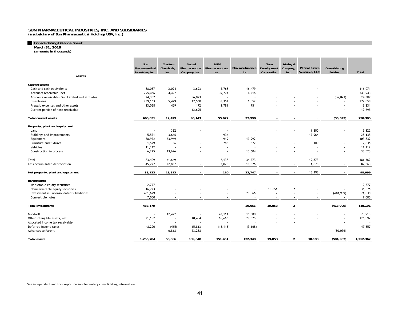**Consolidating Balance Sheet March 31, 2018**

*(amounts in thousands)* 

|                                                                 | Sun<br>Pharmaceutical<br>Industries, Inc. | Chattem<br>Chemicals,<br>Inc. | Mutual<br>Pharmaceutical<br>Company, Inc. | <b>DUSA</b><br>Pharmaceuticals,<br>Inc. | Pharmaulucence<br>$,$ Inc. | Taro<br>Development<br>Corporation | Morley &<br>Company,<br>Inc. | <b>PI Real Estate</b><br>Ventures, LLC | Consolidating<br><b>Entries</b> | <b>Total</b>      |
|-----------------------------------------------------------------|-------------------------------------------|-------------------------------|-------------------------------------------|-----------------------------------------|----------------------------|------------------------------------|------------------------------|----------------------------------------|---------------------------------|-------------------|
| <b>ASSETS</b>                                                   |                                           |                               |                                           |                                         |                            |                                    |                              |                                        |                                 |                   |
| Current assets                                                  |                                           |                               |                                           |                                         |                            |                                    |                              |                                        |                                 |                   |
| Cash and cash equivalents                                       | 88,037                                    | 2,094                         | 3,693                                     | 5,768                                   | 16,479                     |                                    |                              |                                        |                                 | 116,071           |
| Accounts receivable, net                                        | 295,456                                   | 4,497                         | ÷,                                        | 39,774                                  | 4,216                      |                                    |                              |                                        | $\overline{\phantom{a}}$        | 343,943           |
| Accounts receivable - Sun Limited and affiliates                | 24,307                                    |                               | 56,023                                    |                                         |                            |                                    |                              |                                        | (56, 023)                       | 24,307            |
| Inventories                                                     | 239,163                                   | 5,429                         | 17,560                                    | 8,354                                   | 6,552                      |                                    |                              |                                        |                                 | 277,058           |
| Prepaid expenses and other assets                               | 13,068                                    | 459                           | 172                                       | 1,781                                   | 751                        |                                    |                              |                                        |                                 | 16,231            |
| Current portion of note receivable                              |                                           |                               | 12,695                                    |                                         |                            |                                    |                              |                                        |                                 | 12,695            |
| <b>Total current assets</b>                                     | 660,031                                   | 12,479                        | 90,143                                    | 55,677                                  | 27,998                     |                                    |                              |                                        | (56, 023)                       | 790,305           |
| Property, plant and equipment                                   |                                           |                               |                                           |                                         |                            |                                    |                              |                                        |                                 |                   |
| Land                                                            | $\sim$                                    | 322                           |                                           | $\sim$                                  |                            |                                    |                              | 1,800                                  |                                 | 2,122             |
| Buildings and improvements                                      | 5,571                                     | 3,666                         |                                           | 934                                     |                            |                                    |                              | 17,964                                 |                                 | 28,135            |
| Equipment                                                       | 58,972                                    | 23,949                        |                                           | 919                                     | 19,992                     |                                    |                              |                                        |                                 | 103,832           |
| Furniture and fixtures                                          | 1,529                                     | 36                            | $\overline{\phantom{a}}$                  | 285                                     | 677                        |                                    |                              | 109                                    |                                 | 2,636             |
| Vehicles                                                        | 11,112                                    |                               |                                           |                                         |                            |                                    |                              |                                        |                                 | 11,112            |
| Construction in process                                         | 6,225                                     | 13,696                        | $\overline{\phantom{a}}$                  | $\sim$                                  | 13,604                     |                                    | $\overline{\phantom{a}}$     |                                        |                                 | 33,525            |
| Total                                                           | 83,409                                    | 41,669                        | $\overline{a}$                            | 2,138                                   | 34,273                     |                                    |                              | 19,873                                 |                                 | 181,362           |
| Less accumulated depreciation                                   | 45,277                                    | 22,857                        |                                           | 2,028                                   | 10,526                     |                                    |                              | 1,675                                  |                                 | 82,363            |
| Net property, plant and equipment                               | 38,132                                    | 18,812                        |                                           | 110                                     | 23,747                     |                                    | $\sim$                       | 18,198                                 |                                 | 98,999            |
| Investments                                                     |                                           |                               |                                           |                                         |                            |                                    |                              |                                        |                                 |                   |
| Marketable equity securities                                    | 2,777                                     |                               |                                           |                                         |                            |                                    |                              |                                        |                                 | 2,777             |
| Nonmarketable equity securities                                 | 16,723                                    |                               |                                           |                                         | $\blacksquare$             | 19,851                             | $\overline{2}$               |                                        |                                 | 36,576            |
| Investment in unconsolidated subsidiaries                       | 461,679                                   |                               |                                           |                                         | 29,066                     | $\overline{2}$                     |                              |                                        | (418,909)                       | 71,838            |
| Convertible notes                                               | 7,000                                     |                               |                                           |                                         |                            | $\overline{a}$                     | $\overline{\phantom{a}}$     |                                        |                                 | 7,000             |
| <b>Total investments</b>                                        | 488,179                                   |                               | $\sim$                                    |                                         | 29,066                     | 19,853                             | $\overline{2}$               |                                        | (418,909)                       | 118,191           |
|                                                                 |                                           |                               |                                           |                                         |                            |                                    |                              |                                        |                                 |                   |
| Goodwill                                                        | $\sim$                                    | 12,422                        | $\overline{\phantom{a}}$                  | 43,111                                  | 15,380<br>29,325           |                                    |                              |                                        |                                 | 70,913<br>126,597 |
| Other intangible assets, net<br>Allocated income tax receivable | 21,152                                    | $\sim$                        | 10,454                                    | 65,666                                  | $\overline{\phantom{a}}$   |                                    |                              |                                        |                                 |                   |
| Deferred income taxes                                           | 48,290                                    | (465)                         | 15,813                                    | (13, 113)                               | (3, 168)                   |                                    |                              |                                        |                                 | 47,357            |
| <b>Advances to Parent</b>                                       | $\overline{\phantom{a}}$                  | 6,818                         | 23,238                                    | $\sim$                                  | $\overline{\phantom{a}}$   |                                    |                              |                                        | (30, 056)                       | $\sim$            |
| <b>Total assets</b>                                             | 1,255,784                                 | 50,066                        | 139,648                                   | 151,451                                 |                            | 19,853                             |                              |                                        |                                 |                   |
|                                                                 |                                           |                               |                                           |                                         | 122,348                    |                                    | $\overline{2}$               | 18,198                                 | (504, 987)                      | 1,252,362         |

See independent auditors' report on supplementary consolidating information.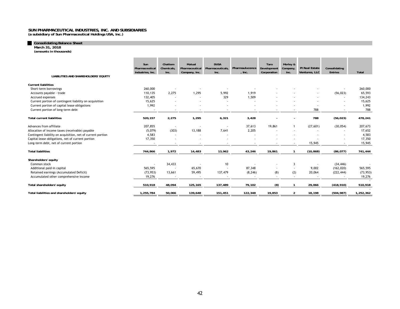### **Consolidating Balance Sheet March 31, 2018**

*(amounts in thousands)* 

|                                                             | Sun<br>Pharmaceutical<br>Industries, Inc. | Chattem<br>Chemicals,<br>Inc. | Mutual<br>Pharmaceutical<br>Company, Inc. | <b>DUSA</b><br>Pharmaceuticals,<br>Inc. | Pharmaulucence<br>, $Inc.$ | Taro<br>Development<br>Corporation | Morley &<br>Company,<br>Inc. | <b>PI Real Estate</b><br>Ventures, LLC | Consolidating<br><b>Entries</b> | Total     |
|-------------------------------------------------------------|-------------------------------------------|-------------------------------|-------------------------------------------|-----------------------------------------|----------------------------|------------------------------------|------------------------------|----------------------------------------|---------------------------------|-----------|
| LIABILITIES AND SHAREHOLDERS' EQUITY                        |                                           |                               |                                           |                                         |                            |                                    |                              |                                        |                                 |           |
| <b>Current liabilities</b>                                  |                                           |                               |                                           |                                         |                            |                                    |                              |                                        |                                 |           |
| Short-term borrowings                                       | 260,000                                   |                               |                                           |                                         |                            |                                    |                              |                                        |                                 | 260,000   |
| Accounts payable - trade                                    | 110,135                                   | 2,275                         | 1,295                                     | 5,992                                   | 1,919                      |                                    |                              |                                        | (56, 023)                       | 65,593    |
| Accrued expenses                                            | 132,405                                   |                               |                                           | 329                                     | 1,509                      |                                    |                              |                                        |                                 | 134,243   |
| Current portion of contingent liability on acquisition      | 15,625                                    |                               |                                           | $\overline{\phantom{a}}$                |                            |                                    |                              |                                        |                                 | 15,625    |
| Current portion of capital lease obligations                | 1,992                                     |                               |                                           | ٠                                       |                            |                                    |                              |                                        |                                 | 1,992     |
| Current portion of long-term debt                           |                                           |                               |                                           | ۰                                       |                            |                                    |                              | 788                                    |                                 | 788       |
| <b>Total current liabilities</b>                            | 520,157                                   | 2,275                         | 1,295                                     | 6,321                                   | 3,428                      |                                    |                              | 788                                    | (56, 023)                       | 478,241   |
| Advances from affiliate                                     | 207,855                                   | $\overline{\phantom{a}}$      |                                           | $\blacksquare$                          | 37,613                     | 19,861                             |                              | (27, 601)                              | (30, 054)                       | 207,673   |
| Allocation of income taxes (receivable) payable             | (5,079)                                   | (303)                         | 13,188                                    | 7,641                                   | 2,205                      |                                    |                              |                                        |                                 | 17,652    |
| Contingent liability on acquisition, net of current portion | 4,583                                     |                               |                                           | $\overline{a}$                          |                            |                                    |                              |                                        |                                 | 4,583     |
| Capital lease obligations, net of current portion           | 17,350                                    |                               |                                           |                                         |                            |                                    |                              |                                        |                                 | 17,350    |
| Long-term debt, net of current portion                      |                                           |                               |                                           |                                         |                            |                                    |                              | 15,945                                 |                                 | 15,945    |
| <b>Total liabilities</b>                                    | 744,866                                   | 1,972                         | 14,483                                    | 13,962                                  | 43,246                     | 19,861                             | -1                           | (10, 868)                              | (86, 077)                       | 741,444   |
| Shareholders' equity                                        |                                           |                               |                                           |                                         |                            |                                    |                              |                                        |                                 |           |
| Common stock                                                |                                           | 34,433                        |                                           | 10                                      |                            |                                    |                              |                                        | (34, 446)                       |           |
| Additional paid-in capital                                  | 565,595                                   |                               | 65,670                                    |                                         | 87,348                     |                                    | $\overline{\phantom{a}}$     | 9,002                                  | (162, 020)                      | 565,595   |
| Retained earnings (Accumulated Deficit)                     | (73, 953)                                 | 13,661                        | 59,495                                    | 137,479                                 | (8, 246)                   | (8)                                | (2)                          | 20,064                                 | (222, 444)                      | (73, 953) |
| Accumulated other comprehensive income                      | 19,276                                    |                               |                                           |                                         |                            | $\overline{\phantom{a}}$           | $\overline{\phantom{a}}$     |                                        |                                 | 19,276    |
| Total shareholders' equity                                  | 510,918                                   | 48,094                        | 125,165                                   | 137,489                                 | 79,102                     | (8)                                |                              | 29,066                                 | (418,910)                       | 510,918   |
| Total liabilities and shareholders' equity                  | 1,255,784                                 | 50.066                        | 139,648                                   | 151.451                                 | 122,348                    | 19,853                             | $\overline{2}$               | 18,198                                 | (504, 987)                      | 1,252,362 |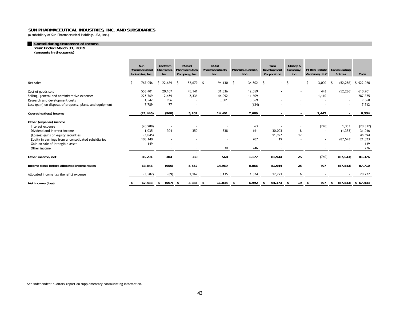(a subsidiary of Sun Pharmaceutical Holdings USA, Inc.)

### **Consolidating Statement of Income Year Ended March 31, 2019**

*(amounts in thousands)*

|                                                           | Sun<br>Pharmaceutical<br>Industries, Inc. |           | Chattem<br>Chemicals.<br>Inc. |    | <b>Mutual</b><br>Pharmaceutical<br>Company, Inc. | <b>DUSA</b><br>Pharmaceuticals,<br>Inc. |             | Pharmaulucence.<br>Inc.  | Taro<br>Development<br>Corporation |                          | Morley &<br>Company,<br>Inc. |                          | <b>PI Real Estate</b><br>Ventures, LLC | Consolidating<br><b>Entries</b> |           | Total                |
|-----------------------------------------------------------|-------------------------------------------|-----------|-------------------------------|----|--------------------------------------------------|-----------------------------------------|-------------|--------------------------|------------------------------------|--------------------------|------------------------------|--------------------------|----------------------------------------|---------------------------------|-----------|----------------------|
| Net sales                                                 | -S                                        | 767,056   | 22.639<br>S.                  | -S | 52,679                                           | - S                                     | 94,130 \$   | 34,802                   | -S                                 | $\blacksquare$           | \$                           | $\overline{\phantom{a}}$ | 3,000<br>S.                            | -S                              | (52, 286) | \$922,020            |
| Cost of goods sold                                        |                                           | 553,401   | 20,107                        |    | 45,141                                           |                                         | 31,836      | 12,059                   |                                    |                          |                              | ٠                        | 443                                    |                                 | (52, 286) | 610,701              |
| Selling, general and administrative expenses              |                                           | 225,769   | 2,459                         |    | 2,336                                            |                                         | 44,092      | 11,609                   |                                    |                          |                              | ٠                        | 1,110                                  |                                 |           | 287,375              |
| Research and development costs                            |                                           | 1,542     | 956                           |    |                                                  |                                         | 3,801       | 3,569                    |                                    |                          |                              |                          |                                        |                                 |           | 9,868                |
| Loss (gain) on disposal of property, plant, and equipment |                                           | 7,789     | 77                            |    |                                                  |                                         |             | (124)                    |                                    |                          |                              |                          |                                        |                                 |           | 7,742                |
| Operating (loss) income                                   |                                           | (21, 445) | (960)                         |    | 5,202                                            |                                         | 14,401      | 7,689                    |                                    | $\overline{\phantom{a}}$ |                              | $\blacksquare$           | 1,447                                  |                                 |           | 6,334                |
| Other (expense) income                                    |                                           |           |                               |    |                                                  |                                         |             |                          |                                    |                          |                              |                          |                                        |                                 |           |                      |
| Interest expense                                          |                                           | (20, 988) |                               |    |                                                  |                                         |             | 63                       |                                    |                          |                              |                          | (740)                                  |                                 | 1,353     | (20, 312)            |
| Dividend and interest income                              |                                           | 1,035     | 304                           |    | 350                                              |                                         | 538         | 161                      |                                    | 30,003                   |                              | 8                        | $\overline{\phantom{a}}$               |                                 | (1, 353)  | 31,046               |
| (Losses) gains on equity securities                       |                                           | (3,045)   | $\sim$                        |    |                                                  |                                         |             | $\overline{\phantom{a}}$ |                                    | 51,922                   |                              | 17                       |                                        |                                 |           | 48,894               |
| Equity in earnings from unconsolidated subsidiaries       |                                           | 108,140   | $\sim$                        |    |                                                  |                                         | ٠           | 707                      |                                    | 19                       |                              |                          |                                        |                                 | (87, 543) | 21,323               |
| Gain on sale of intangible asset                          |                                           | 149       |                               |    |                                                  |                                         | ٠           |                          |                                    |                          |                              |                          |                                        |                                 |           | 149                  |
| Other income                                              |                                           |           |                               |    |                                                  |                                         | 30          | 246                      |                                    |                          |                              |                          |                                        |                                 |           | 276                  |
| Other income, net                                         |                                           | 85,291    | 304                           |    | 350                                              |                                         | 568         | 1,177                    |                                    | 81,944                   | 25                           |                          | (740)                                  |                                 | (87, 543) | 81,376               |
| Income (loss) before allocated income taxes               |                                           | 63,846    | (656)                         |    | 5,552                                            |                                         | 14,969      | 8,866                    |                                    | 81,944                   |                              | 25                       | 707                                    | (87, 543)                       |           | 87,710               |
| Allocated income tax (benefit) expense                    |                                           | (3, 587)  | (89)                          |    | 1,167                                            |                                         | 3,135       | 1,874                    |                                    | 17,771                   |                              | 6                        |                                        |                                 |           | 20,277               |
| Net income (loss)                                         | S                                         | 67,433    | $(567)$ \$<br>-\$             |    | 4,385                                            | -\$                                     | $11,834$ \$ | 6,992                    | \$                                 | 64,173                   | - \$                         | 19S                      | 707                                    | \$                              |           | $(87,543)$ \$ 67,433 |

See independent auditors' report on supplementary consolidating information.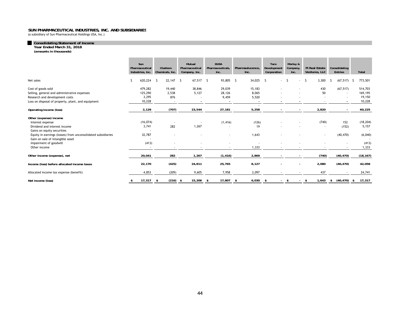(a subsidiary of Sun Pharmaceutical Holdings USA, Inc.)

### **Consolidating Statement of Income Year Ended March 31, 2018**

*(amounts in thousands)* 

|                                                              |              | Sun<br>Pharmaceutical<br>Industries, Inc. |    | Chattem<br>Chemicals, Inc. |    | Mutual<br>Pharmaceutical<br>Company, Inc. | <b>DUSA</b><br>Pharmaceuticals,<br>Inc. | Pharmaulucence,<br>Inc. | Taro<br>Development<br>Corporation | Morley &<br>Company,<br>Inc. |                          |      | <b>PI Real Estate</b><br>Ventures, LLC | Consolidating<br><b>Entries</b> |     | Total     |
|--------------------------------------------------------------|--------------|-------------------------------------------|----|----------------------------|----|-------------------------------------------|-----------------------------------------|-------------------------|------------------------------------|------------------------------|--------------------------|------|----------------------------------------|---------------------------------|-----|-----------|
| Net sales                                                    | <sub>S</sub> | 620,224                                   | -S | 22,147                     | -S | $67,517$ \$                               | 93,805 \$                               | 34,025 \$               | $\overline{\phantom{a}}$           | <sub>S</sub>                 | $\overline{\phantom{a}}$ | -S   | 3,300                                  | (67, 517)                       | - S | 773,501   |
| Cost of goods sold                                           |              | 479,282                                   |    | 19,440                     |    | 38,846                                    | 29,039                                  | 15.183                  |                                    |                              | $\overline{\phantom{a}}$ |      | 430                                    | (67, 517)                       |     | 514,703   |
| Selling, general and administrative expenses                 |              | 125,290                                   |    | 2,538                      |    | 5,127                                     | 28,126                                  | 8,065                   |                                    |                              |                          |      | 50                                     | $\sim$                          |     | 169,195   |
| Research and development costs                               |              | 3,295                                     |    | 876                        |    |                                           | 9,459                                   | 5,520                   |                                    |                              |                          |      |                                        |                                 |     | 19,150    |
| Loss on disposal of property, plant, and equipment           |              | 10,228                                    |    |                            |    |                                           |                                         | $\sim$                  |                                    |                              |                          |      |                                        |                                 |     | 10,228    |
| Operating income (loss)                                      |              | 2,129                                     |    | (707)                      |    | 23,544                                    | 27,181                                  | $\sim$<br>5,258         |                                    |                              |                          |      | 2,820                                  |                                 |     | 60,225    |
| Other (expense) income                                       |              |                                           |    |                            |    |                                           |                                         |                         |                                    |                              |                          |      |                                        |                                 |     |           |
| Interest expense                                             |              | (16, 074)                                 |    | $\overline{\phantom{a}}$   |    |                                           | (1, 416)                                | (126)                   |                                    |                              |                          |      | (740)                                  | 152                             |     | (18, 204) |
| Dividend and interest income                                 |              | 3,741                                     |    | 282                        |    | 1,267                                     |                                         | 19                      |                                    |                              |                          |      | $\overline{\phantom{a}}$               | (152)                           |     | 5,157     |
| Gains on equity securities                                   |              |                                           |    |                            |    |                                           |                                         |                         |                                    |                              |                          |      |                                        |                                 |     |           |
| Equity in earnings (losses) from unconsolidated subsidiaries |              | 32,787                                    |    |                            |    |                                           |                                         | 1,643                   |                                    |                              |                          |      | $\overline{\phantom{a}}$               | (40, 470)                       |     | (6,040)   |
| Gain on sale of intangible asset                             |              |                                           |    |                            |    |                                           |                                         |                         |                                    |                              |                          |      |                                        |                                 |     |           |
| Impairment of goodwill                                       |              | (413)                                     |    |                            |    |                                           |                                         |                         |                                    |                              |                          |      |                                        |                                 |     | (413)     |
| Other income                                                 |              | $\sim$                                    |    |                            |    |                                           |                                         | 1,333                   |                                    |                              |                          |      |                                        |                                 |     | 1,333     |
| Other income (expense), net                                  |              | 20,041                                    |    | 282                        |    | 1,267                                     | (1, 416)                                | 2,869                   |                                    |                              |                          |      | (740)                                  | (40, 470)                       |     | (18, 167) |
|                                                              |              |                                           |    |                            |    |                                           |                                         |                         |                                    |                              |                          |      |                                        |                                 |     |           |
| Income (loss) before allocated income taxes                  |              | 22,170                                    |    | (425)                      |    | 24,811                                    | 25,765                                  | 8,127                   |                                    |                              |                          |      | 2,080                                  | (40, 470)                       |     | 42,058    |
| Allocated income tax expense (benefit)                       |              | 4,853                                     |    | (209)                      |    | 9,605                                     | 7,958                                   | 2,097                   |                                    |                              |                          |      | 437                                    |                                 |     | 24,741    |
| Net income (loss)                                            |              | 17,317                                    | -9 | $(216)$ \$                 |    | 15,206 \$                                 | 17,807                                  | \$<br>6,030             | - \$<br>$\sim$                     | - \$                         | $\sim$                   | - \$ | 1,643                                  | $(40, 470)$ \$<br>- \$          |     | 17,317    |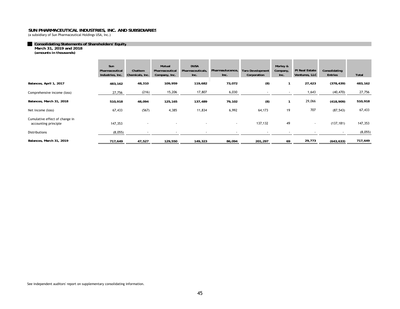(a subsidiary of Sun Pharmaceutical Holdings USA, Inc.)

### **Consolidating Statements of Shareholders' Equity March 31, 2019 and 2018**

*(amounts in thousands)*

|                                                        | Sun<br>Pharmaceutical<br>Industries, Inc. | Chattem<br>Chemicals, Inc. | Mutual<br>Pharmaceutical<br>Company, Inc. | <b>DUSA</b><br>Pharmaceuticals,<br>Inc. | Pharmaulucence,<br>Inc. | <b>Taro Development</b><br>Corporation | Morley &<br>Company,<br>Inc. | <b>PI Real Estate</b><br>Ventures, LLC | Consolidating<br><b>Entries</b> | <b>Total</b> |
|--------------------------------------------------------|-------------------------------------------|----------------------------|-------------------------------------------|-----------------------------------------|-------------------------|----------------------------------------|------------------------------|----------------------------------------|---------------------------------|--------------|
| Balances, April 1, 2017                                | 483,162                                   | 48,310                     | 109,959                                   | 119,682                                 | 73,072                  | (8)                                    |                              | 27,423                                 | (378, 439)                      | 483,162      |
| Comprehensive income (loss)                            | 27,756                                    | (216)                      | 15,206                                    | 17,807                                  | 6,030                   |                                        |                              | 1,643                                  | (40, 470)                       | 27,756       |
| Balances, March 31, 2018                               | 510,918                                   | 48,094                     | 125,165                                   | 137,489                                 | 79,102                  | (8)                                    |                              | 29,066                                 | (418,909)                       | 510,918      |
| Net income (loss)                                      | 67,433                                    | (567)                      | 4,385                                     | 11,834                                  | 6,992                   | 64,173                                 | 19                           | 707                                    | (87, 543)                       | 67,433       |
| Cumulative effect of change in<br>accounting principle | 147,353                                   |                            |                                           |                                         | $\sim$                  | 137,132                                | 49                           | $\sim$                                 | (137, 181)                      | 147,353      |
| Distributions                                          | (8,055)                                   |                            |                                           |                                         |                         |                                        |                              |                                        |                                 | (8,055)      |
| Balances, March 31, 2019                               | 717,649                                   | 47,527                     | 129,550                                   | 149,323                                 | 86,094                  | 201,297                                | 69                           | 29,773                                 | (643, 633)                      | 717,649      |

See independent auditors' report on supplementary consolidating information.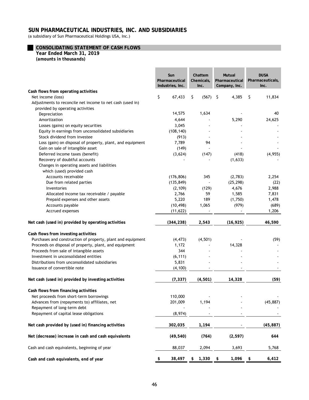(a subsidiary of Sun Pharmaceutical Holdings USA, Inc.)

#### **CONSOLIDATING STATEMENT OF CASH FLOWS**

**Year Ended March 31, 2019** *(amounts in thousands)* 

|                                                                                                   | Sun<br>Pharmaceutical<br>Industries, Inc. | Chattem<br>Chemicals,<br>Inc. | <b>Mutual</b><br>Pharmaceutical<br>Company, Inc. | <b>DUSA</b><br>Pharmaceuticals,<br>Inc. |
|---------------------------------------------------------------------------------------------------|-------------------------------------------|-------------------------------|--------------------------------------------------|-----------------------------------------|
| Cash flows from operating activities                                                              |                                           |                               |                                                  |                                         |
| Net income (loss)                                                                                 | \$<br>67,433                              | \$<br>(567)                   | \$<br>4,385                                      | \$<br>11,834                            |
| Adjustments to reconcile net income to net cash (used in)                                         |                                           |                               |                                                  |                                         |
| provided by operating activities                                                                  |                                           |                               |                                                  |                                         |
| Depreciation                                                                                      | 14,575                                    | 1,634                         |                                                  | 40                                      |
| Amortization                                                                                      | 4,644                                     |                               | 5,290                                            | 24,625                                  |
| Losses (gains) on equity securities                                                               | 3,045                                     |                               |                                                  |                                         |
| Equity in earnings from unconsolidated subsidiaries                                               | (108, 140)                                |                               |                                                  |                                         |
| Stock dividend from investee                                                                      | (913)                                     |                               |                                                  |                                         |
| Loss (gain) on disposal of property, plant, and equipment                                         | 7,789                                     | 94                            |                                                  |                                         |
| Gain on sale of intangible asset                                                                  | (149)                                     |                               |                                                  |                                         |
| Deferred income taxes (benefit)                                                                   | (3,624)                                   | (147)                         | (418)                                            | (4,955)                                 |
| Recovery of doubtful accounts                                                                     |                                           |                               | (1,633)                                          |                                         |
| Changes in operating assets and liabilities                                                       |                                           |                               |                                                  |                                         |
| which (used) provided cash                                                                        |                                           |                               |                                                  |                                         |
| Accounts receivable                                                                               | (176, 806)                                | 345                           | (2,783)                                          | 2,254                                   |
| Due from related parties                                                                          | (135, 849)                                |                               | (25, 298)                                        | (22)                                    |
| Inventories                                                                                       | (2, 109)                                  | (129)                         | 4,676                                            | 2,988                                   |
| Allocated income tax receivable / payable                                                         | 2,766                                     | 59                            | 1,585                                            | 7,831                                   |
| Prepaid expenses and other assets                                                                 | 5,220                                     | 189                           | (1,750)                                          | 1,478                                   |
| Accounts payable                                                                                  | (10, 498)                                 | 1,065                         | (979)                                            | (689)                                   |
| Accrued expenses                                                                                  | (11, 622)                                 |                               |                                                  | 1,206                                   |
|                                                                                                   |                                           |                               |                                                  |                                         |
| Net cash (used in) provided by operating activities                                               | (344, 238)                                | 2,543                         | (16, 925)                                        | 46,590                                  |
| Cash flows from investing activities                                                              |                                           |                               |                                                  |                                         |
| Purchases and construction of property, plant and equipment                                       |                                           |                               |                                                  |                                         |
|                                                                                                   | (4, 473)<br>1,172                         | (4, 501)                      | 14,328                                           | (59)                                    |
| Proceeds on disposal of property, plant, and equipment<br>Proceeds from sale of intangible assets | 344                                       |                               |                                                  |                                         |
|                                                                                                   |                                           |                               |                                                  |                                         |
| Investment in unconsolidated entities                                                             | (6, 111)                                  |                               |                                                  |                                         |
| Distributions from unconsolidated subsidiaries                                                    | 5,831                                     |                               |                                                  |                                         |
| Issuance of convertible note                                                                      | (4, 100)                                  |                               |                                                  |                                         |
| Net cash (used in) provided by investing activities                                               | (7, 337)                                  | (4, 501)                      | 14,328                                           | (59)                                    |
| Cash flows from financing activities                                                              |                                           |                               |                                                  |                                         |
| Net proceeds from short-term borrowings                                                           | 110,000                                   |                               |                                                  |                                         |
| Advances from (repayments to) affiliates, net                                                     | 201,009                                   | 1,194                         |                                                  | (45, 887)                               |
| Repayment of long-term debt                                                                       |                                           |                               |                                                  |                                         |
| Repayment of capital lease obligations                                                            | (8,974)                                   |                               |                                                  |                                         |
| Net cash provided by (used in) financing activities                                               | 302,035                                   | 1,194                         |                                                  | (45, 887)                               |
| Net (decrease) increase in cash and cash equivalents                                              | (49, 540)                                 | (764)                         | (2, 597)                                         | 644                                     |
| Cash and cash equivalents, beginning of year                                                      | 88,037                                    | 2,094                         | 3,693                                            | 5,768                                   |
| Cash and cash equivalents, end of year                                                            | \$<br>38,497                              | 1,330<br>\$                   | \$<br>1,096                                      | \$<br>6,412                             |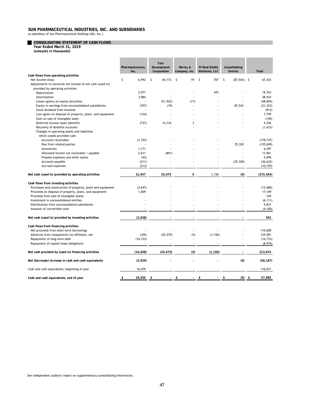#### **CONSOLIDATING STATEMENT OF CASH FLOWS**

**Year Ended March 31, 2019**

| (amounts in thousands) |  |
|------------------------|--|
|------------------------|--|

|                                                             | Pharmaulucence,<br>Inc. |           | Taro<br>Development<br>Corporation |           | Morley &<br>Company, Inc. | <b>PI Real Estate</b><br>Ventures, LLC | Consolidating<br><b>Entries</b> |               | <b>Total</b> |            |
|-------------------------------------------------------------|-------------------------|-----------|------------------------------------|-----------|---------------------------|----------------------------------------|---------------------------------|---------------|--------------|------------|
| Cash flows from operating activities                        |                         |           |                                    |           |                           |                                        |                                 |               |              |            |
| Net income (loss)                                           | $\mathsf{S}$            | 6,992     | \$                                 | 64,173    | \$<br>19                  | \$<br>707                              | $\mathsf{\hat{S}}$              | $(87,543)$ \$ |              | 67,433     |
| Adjustments to reconcile net income to net cash (used in)   |                         |           |                                    |           |                           |                                        |                                 |               |              |            |
| provided by operating activities                            |                         |           |                                    |           |                           |                                        |                                 |               |              |            |
| Depreciation                                                |                         | 2,071     |                                    |           |                           | 443                                    |                                 |               |              | 18,763     |
| Amortization                                                |                         | 3,984     |                                    |           |                           |                                        |                                 |               |              | 38,543     |
| Losses (gains) on equity securities                         |                         |           |                                    | (51, 922) | (17)                      |                                        |                                 |               |              | (48, 894)  |
| Equity in earnings from unconsolidated subsidiaries         |                         | (707)     |                                    | (19)      |                           |                                        |                                 | 87,543        |              | (21, 323)  |
| Stock dividend from investee                                |                         |           |                                    |           |                           |                                        |                                 |               |              | (913)      |
| Loss (gain) on disposal of property, plant, and equipment   |                         | (124)     |                                    |           |                           |                                        |                                 |               |              | 7,759      |
| Gain on sale of intangible asset                            |                         |           |                                    |           |                           |                                        |                                 |               |              | (149)      |
| Deferred income taxes (benefit)                             |                         | (737)     |                                    | 14,134    | 3                         |                                        |                                 |               |              | 4,256      |
| Recovery of doubtful accounts                               |                         |           |                                    |           |                           |                                        |                                 |               |              | (1,633)    |
| Changes in operating assets and liabilities                 |                         |           |                                    |           |                           |                                        |                                 |               |              |            |
| which (used) provided cash                                  |                         |           |                                    |           |                           |                                        |                                 |               |              |            |
| Accounts receivable                                         |                         | (1,747)   |                                    |           |                           |                                        |                                 |               |              | (178, 737) |
| Due from related parties                                    |                         |           |                                    |           |                           |                                        |                                 | 25,320        |              | (135, 849) |
| Inventories                                                 |                         | 1,171     |                                    |           |                           |                                        |                                 |               |              | 6,597      |
| Allocated income tax receivable / payable                   |                         | 2,611     |                                    | (891)     |                           |                                        |                                 |               |              | 13,961     |
| Prepaid expenses and other assets                           |                         | (43)      |                                    |           |                           |                                        |                                 |               |              | 5,094      |
| Accounts payable                                            |                         | (211)     |                                    |           |                           |                                        |                                 | (25, 320)     |              | (36, 632)  |
| Accrued expenses                                            |                         | (313)     |                                    |           |                           |                                        |                                 |               |              | (10, 729)  |
|                                                             |                         |           |                                    |           |                           |                                        |                                 |               |              |            |
| Net cash (used in) provided by operating activities         |                         | 12,947    |                                    | 25,475    | 5                         | 1,150                                  |                                 | (0)           |              | (272, 454) |
| Cash flows from investing activities                        |                         |           |                                    |           |                           |                                        |                                 |               |              |            |
| Purchases and construction of property, plant and equipment |                         | (3, 647)  |                                    |           |                           |                                        |                                 |               |              | (12,680)   |
| Proceeds on disposal of property, plant, and equipment      |                         | 1,609     |                                    |           |                           |                                        |                                 |               |              | 17,109     |
| Proceeds from sale of intangible assets                     |                         |           |                                    |           |                           |                                        |                                 |               |              | 344        |
| Investment in unconsolidated entities                       |                         |           |                                    |           |                           |                                        |                                 |               |              | (6, 111)   |
| Distributions from unconsolidated subsidiaries              |                         |           |                                    |           |                           |                                        |                                 |               |              | 5,831      |
| Issuance of convertible note                                |                         |           |                                    |           |                           |                                        |                                 |               |              | (4, 100)   |
| Net cash (used in) provided by investing activities         |                         | (2,038)   |                                    |           |                           |                                        |                                 |               |              | 393        |
|                                                             |                         |           |                                    |           |                           |                                        |                                 |               |              |            |
| Cash flows from financing activities                        |                         |           |                                    |           |                           |                                        |                                 |               |              |            |
| Net proceeds from short-term borrowings                     |                         |           |                                    |           |                           |                                        |                                 |               |              | 110,000    |
| Advances from (repayments to) affiliates, net               |                         | (105)     |                                    | (25, 475) | (5)                       | (1, 150)                               |                                 |               |              | 129,581    |
| Repayment of long-term debt                                 |                         | (16, 733) |                                    |           |                           |                                        |                                 |               |              | (16, 733)  |
| Repayment of capital lease obligations                      |                         |           |                                    |           |                           |                                        |                                 |               |              | (8,974)    |
|                                                             |                         |           |                                    |           |                           |                                        |                                 |               |              |            |
| Net cash provided by (used in) financing activities         |                         | (16, 838) |                                    | (25, 475) | (5)                       | (1, 150)                               |                                 |               |              | 213,874    |
| Net (decrease) increase in cash and cash equivalents        |                         | (5, 929)  |                                    |           |                           |                                        |                                 | (0)           |              | (58, 187)  |
| Cash and cash equivalents, beginning of year                |                         | 16,479    |                                    |           |                           |                                        |                                 |               |              | 116,071    |
| Cash and cash equivalents, end of year                      | \$                      | 10,550    | \$                                 | ×,        | \$<br>×.                  | \$                                     | \$                              | (0)           | - \$         | 57,885     |

See independent auditors' report on supplementary consolidating information.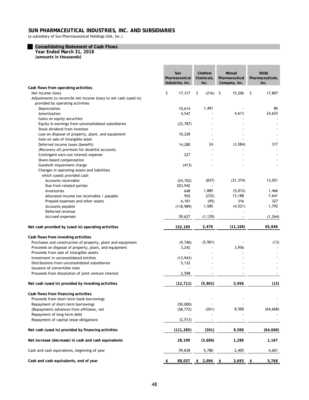(a subsidiary of Sun Pharmaceutical Holdings USA, Inc.)

#### **Consolidating Statement of Cash Flows**

**Year Ended March 31, 2018**

*(amounts in thousands)* 

|                                                                                     | Sun<br>Pharmaceutical<br>Industries, Inc. | Chattem<br>Chemicals,<br>Inc. | <b>Mutual</b><br>Pharmaceutical<br>Company, Inc. | <b>DUSA</b><br>Pharmaceuticals.<br>Inc. |  |
|-------------------------------------------------------------------------------------|-------------------------------------------|-------------------------------|--------------------------------------------------|-----------------------------------------|--|
| Cash flows from operating activities                                                |                                           |                               |                                                  |                                         |  |
| Net income (loss)                                                                   | \$<br>17,317                              | \$<br>$(216)$ \$              | 15,206                                           | S.<br>17,807                            |  |
| Adjustments to reconcile net income (loss) to net cash (used in)                    |                                           |                               |                                                  |                                         |  |
| provided by operating activities                                                    |                                           |                               |                                                  |                                         |  |
| Depreciation                                                                        | 10,614                                    | 1,491                         |                                                  | 86                                      |  |
| Amortization                                                                        | 4,547                                     |                               | 4,613                                            | 24,625                                  |  |
| Gains on equity securities                                                          |                                           |                               |                                                  |                                         |  |
| Equity in earnings from unconsolidated subsidiaries                                 | (32, 787)                                 |                               |                                                  |                                         |  |
| Stock dividend from investee                                                        |                                           |                               |                                                  |                                         |  |
| Loss on disposal of property, plant, and equipment                                  | 10,228                                    |                               |                                                  |                                         |  |
| Gain on sale of intangible asset                                                    |                                           |                               |                                                  |                                         |  |
| Deferred income taxes (benefit)                                                     | 14,280                                    | 24                            | (3, 584)                                         | 317                                     |  |
| (Recovery of) provision for doubtful accounts                                       |                                           |                               |                                                  |                                         |  |
| Contingent earn-out interest expense                                                | 227                                       |                               |                                                  |                                         |  |
| Share-based compensation                                                            |                                           |                               |                                                  |                                         |  |
| Goodwill impairment charge                                                          | (413)                                     |                               |                                                  |                                         |  |
| Changes in operating assets and liabilities                                         |                                           |                               |                                                  |                                         |  |
| which (used) provided cash                                                          |                                           |                               |                                                  |                                         |  |
| Accounts receivable                                                                 | (24, 102)                                 | (837)                         | (31, 374)                                        | 13,051                                  |  |
| Due from related parties                                                            | 203,942                                   |                               |                                                  |                                         |  |
| Inventories                                                                         | 648                                       | 1,885                         | (5,012)                                          | 1,466                                   |  |
| Allocated income tax receivable / payable                                           | 955                                       | (232)                         | 13,188                                           | 7,641                                   |  |
| Prepaid expenses and other assets                                                   | 6,101                                     | (95)                          | 316                                              | 327                                     |  |
| Accounts payable                                                                    | (118,989)                                 | 1,585                         | (4, 521)                                         | 1,792                                   |  |
| Deferred revenue                                                                    |                                           |                               |                                                  |                                         |  |
| Accrued expenses                                                                    | 59,627                                    | (1, 129)                      |                                                  | (1, 264)                                |  |
| Net cash provided by (used in) operating activities                                 | 152,195                                   | 2,476                         | (11, 168)                                        | 65,848                                  |  |
|                                                                                     |                                           |                               |                                                  |                                         |  |
| Cash flows from investing activities                                                |                                           |                               |                                                  |                                         |  |
| Purchases and construction of property, plant and equipment                         | (9,740)                                   | (5,901)                       | 3,956                                            | (13)                                    |  |
| Proceeds on disposal of property, plant, and equipment                              | 3,242                                     |                               |                                                  |                                         |  |
| Proceeds from sale of intangible assets<br>Investment in unconsolidated entities    |                                           |                               |                                                  |                                         |  |
| Distributions from unconsolidated subsidiaries                                      | (13, 943)                                 |                               |                                                  |                                         |  |
|                                                                                     | 5,132                                     |                               |                                                  |                                         |  |
| Issuance of convertible note<br>Proceeds from dissolution of joint venture interest | 2,598                                     |                               |                                                  |                                         |  |
|                                                                                     |                                           |                               |                                                  |                                         |  |
| Net cash (used in) provided by investing activities                                 | (12, 711)                                 | (5,901)                       | 3,956                                            | (13)                                    |  |
| Cash flows from financing activities                                                |                                           |                               |                                                  |                                         |  |
| Proceeds from short-term bank borrowings                                            |                                           |                               |                                                  |                                         |  |
| Repayment of short-term borrowings                                                  | (50,000)                                  |                               |                                                  |                                         |  |
| (Repayment) advances from affiliates, net                                           | (58, 772)                                 | (261)                         | 8,500                                            | (64, 668)                               |  |
| Repayment of long-term debt                                                         |                                           |                               |                                                  |                                         |  |
| Repayment of capital lease obligations                                              | (2, 513)                                  |                               |                                                  |                                         |  |
|                                                                                     |                                           |                               |                                                  |                                         |  |
| Net cash (used in) provided by financing activities                                 | (111, 285)                                | (261)                         | 8,500                                            | (64, 668)                               |  |
| Net increase (decrease) in cash and cash equivalents                                | 28,199                                    | (3,686)                       | 1,288                                            | 1,167                                   |  |
| Cash and cash equivalents, beginning of year                                        | 59,838                                    | 5,780                         | 2,405                                            | 4,601                                   |  |
| Cash and cash equivalents, end of year                                              | 88,037<br>\$                              | \$2,094                       | 3,693<br>- \$                                    | 5,768<br>- \$                           |  |